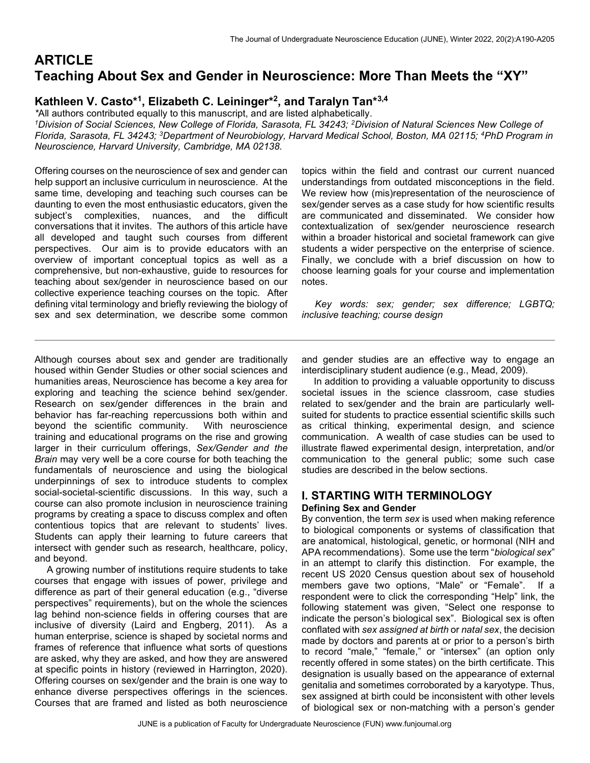# **ARTICLE** Teaching About Sex and Gender in Neuroscience: More Than Meets the "XY"

# Kathleen V. Casto\*<sup>1</sup>, Elizabeth C. Leininger\*<sup>2</sup>, and Taralyn Tan\*<sup>3,4</sup>

\*All authors contributed equally to this manuscript, and are listed alphabetically. <sup>1</sup>Division of Social Sciences, New College of Florida, Sarasota, FL 34243; <sup>2</sup>Division of Natural Sciences New College of Florida, Sarasota, FL 34243; <sup>3</sup>Department of Neurobiology, Harvard Medical School, Boston, MA 02115; <sup>4</sup>PhD Program in Neuroscience, Harvard University, Cambridge, MA 02138.

Offering courses on the neuroscience of sex and gender can help support an inclusive curriculum in neuroscience. At the same time, developing and teaching such courses can be daunting to even the most enthusiastic educators, given the subject's complexities, nuances, and the difficult conversations that it invites. The authors of this article have all developed and taught such courses from different perspectives. Our aim is to provide educators with an overview of important conceptual topics as well as a comprehensive, but non-exhaustive, guide to resources for teaching about sex/gender in neuroscience based on our collective experience teaching courses on the topic. After defining vital terminology and briefly reviewing the biology of sex and sex determination, we describe some common topics within the field and contrast our current nuanced understandings from outdated misconceptions in the field. We review how (mis)representation of the neuroscience of sex/gender serves as a case study for how scientific results are communicated and disseminated. We consider how contextualization of sex/gender neuroscience research within a broader historical and societal framework can give students a wider perspective on the enterprise of science. Finally, we conclude with a brief discussion on how to choose learning goals for your course and implementation notes.

 Key words: sex; gender; sex difference; LGBTQ; inclusive teaching; course design

Although courses about sex and gender are traditionally housed within Gender Studies or other social sciences and humanities areas, Neuroscience has become a key area for exploring and teaching the science behind sex/gender. Research on sex/gender differences in the brain and behavior has far-reaching repercussions both within and beyond the scientific community. With neuroscience training and educational programs on the rise and growing larger in their curriculum offerings, Sex/Gender and the Brain may very well be a core course for both teaching the fundamentals of neuroscience and using the biological underpinnings of sex to introduce students to complex social-societal-scientific discussions. In this way, such a course can also promote inclusion in neuroscience training programs by creating a space to discuss complex and often contentious topics that are relevant to students' lives. Students can apply their learning to future careers that intersect with gender such as research, healthcare, policy, and beyond.

 A growing number of institutions require students to take courses that engage with issues of power, privilege and difference as part of their general education (e.g., "diverse perspectives" requirements), but on the whole the sciences lag behind non-science fields in offering courses that are inclusive of diversity (Laird and Engberg, 2011). As a human enterprise, science is shaped by societal norms and frames of reference that influence what sorts of questions are asked, why they are asked, and how they are answered at specific points in history (reviewed in Harrington, 2020). Offering courses on sex/gender and the brain is one way to enhance diverse perspectives offerings in the sciences. Courses that are framed and listed as both neuroscience and gender studies are an effective way to engage an interdisciplinary student audience (e.g., Mead, 2009).

 In addition to providing a valuable opportunity to discuss societal issues in the science classroom, case studies related to sex/gender and the brain are particularly wellsuited for students to practice essential scientific skills such as critical thinking, experimental design, and science communication. A wealth of case studies can be used to illustrate flawed experimental design, interpretation, and/or communication to the general public; some such case studies are described in the below sections.

## I. STARTING WITH TERMINOLOGY Defining Sex and Gender

By convention, the term sex is used when making reference to biological components or systems of classification that are anatomical, histological, genetic, or hormonal (NIH and APA recommendations). Some use the term "biological sex" in an attempt to clarify this distinction. For example, the recent US 2020 Census question about sex of household members gave two options, "Male" or "Female". If a respondent were to click the corresponding "Help" link, the following statement was given, "Select one response to indicate the person's biological sex". Biological sex is often conflated with sex assigned at birth or natal sex, the decision made by doctors and parents at or prior to a person's birth to record "male," "female," or "intersex" (an option only recently offered in some states) on the birth certificate. This designation is usually based on the appearance of external genitalia and sometimes corroborated by a karyotype. Thus, sex assigned at birth could be inconsistent with other levels of biological sex or non-matching with a person's gender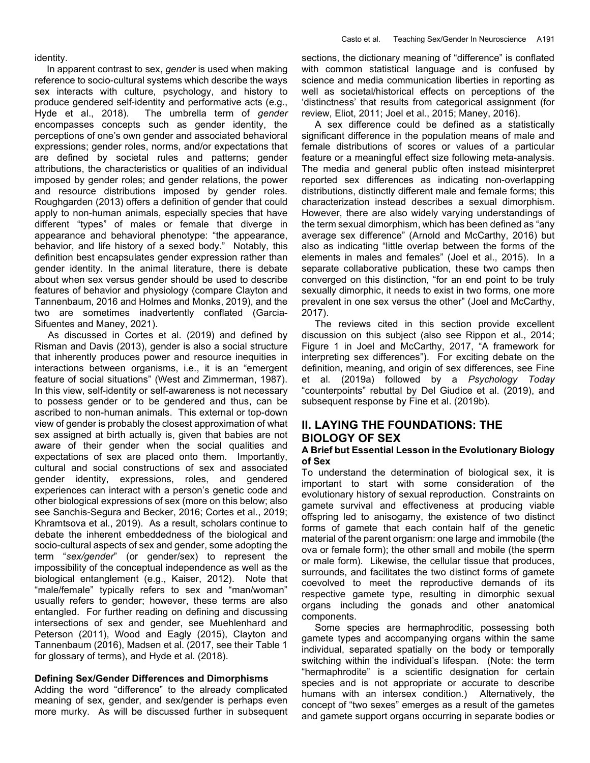identity.

In apparent contrast to sex, *gender* is used when making reference to socio-cultural systems which describe the ways sex interacts with culture, psychology, and history to produce gendered self-identity and performative acts (e.g., Hyde et al., 2018). The umbrella term of gender encompasses concepts such as gender identity, the perceptions of one's own gender and associated behavioral expressions; gender roles, norms, and/or expectations that are defined by societal rules and patterns; gender attributions, the characteristics or qualities of an individual imposed by gender roles; and gender relations, the power and resource distributions imposed by gender roles. Roughgarden (2013) offers a definition of gender that could apply to non-human animals, especially species that have different "types" of males or female that diverge in appearance and behavioral phenotype: "the appearance, behavior, and life history of a sexed body." Notably, this definition best encapsulates gender expression rather than gender identity. In the animal literature, there is debate about when sex versus gender should be used to describe features of behavior and physiology (compare Clayton and Tannenbaum, 2016 and Holmes and Monks, 2019), and the two are sometimes inadvertently conflated (Garcia-Sifuentes and Maney, 2021).

 As discussed in Cortes et al. (2019) and defined by Risman and Davis (2013), gender is also a social structure that inherently produces power and resource inequities in interactions between organisms, i.e., it is an "emergent feature of social situations" (West and Zimmerman, 1987). In this view, self-identity or self-awareness is not necessary to possess gender or to be gendered and thus, can be ascribed to non-human animals. This external or top-down view of gender is probably the closest approximation of what sex assigned at birth actually is, given that babies are not aware of their gender when the social qualities and expectations of sex are placed onto them. Importantly, cultural and social constructions of sex and associated gender identity, expressions, roles, and gendered experiences can interact with a person's genetic code and other biological expressions of sex (more on this below; also see Sanchis-Segura and Becker, 2016; Cortes et al., 2019; Khramtsova et al., 2019). As a result, scholars continue to debate the inherent embeddedness of the biological and socio-cultural aspects of sex and gender, some adopting the term "sex/gender" (or gender/sex) to represent the impossibility of the conceptual independence as well as the biological entanglement (e.g., Kaiser, 2012). Note that "male/female" typically refers to sex and "man/woman" usually refers to gender; however, these terms are also entangled. For further reading on defining and discussing intersections of sex and gender, see Muehlenhard and Peterson (2011), Wood and Eagly (2015), Clayton and Tannenbaum (2016), Madsen et al. (2017, see their Table 1 for glossary of terms), and Hyde et al. (2018).

#### Defining Sex/Gender Differences and Dimorphisms

Adding the word "difference" to the already complicated meaning of sex, gender, and sex/gender is perhaps even more murky. As will be discussed further in subsequent sections, the dictionary meaning of "difference" is conflated with common statistical language and is confused by science and media communication liberties in reporting as well as societal/historical effects on perceptions of the 'distinctness' that results from categorical assignment (for review, Eliot, 2011; Joel et al., 2015; Maney, 2016).

 A sex difference could be defined as a statistically significant difference in the population means of male and female distributions of scores or values of a particular feature or a meaningful effect size following meta-analysis. The media and general public often instead misinterpret reported sex differences as indicating non-overlapping distributions, distinctly different male and female forms; this characterization instead describes a sexual dimorphism. However, there are also widely varying understandings of the term sexual dimorphism, which has been defined as "any average sex difference" (Arnold and McCarthy, 2016) but also as indicating "little overlap between the forms of the elements in males and females" (Joel et al., 2015). In a separate collaborative publication, these two camps then converged on this distinction, "for an end point to be truly sexually dimorphic, it needs to exist in two forms, one more prevalent in one sex versus the other" (Joel and McCarthy, 2017).

 The reviews cited in this section provide excellent discussion on this subject (also see Rippon et al., 2014; Figure 1 in Joel and McCarthy, 2017, "A framework for interpreting sex differences"). For exciting debate on the definition, meaning, and origin of sex differences, see Fine et al. (2019a) followed by a Psychology Today "counterpoints" rebuttal by Del Giudice et al. (2019), and subsequent response by Fine et al. (2019b).

# II. LAYING THE FOUNDATIONS: THE BIOLOGY OF SEX

#### A Brief but Essential Lesson in the Evolutionary Biology of Sex

To understand the determination of biological sex, it is important to start with some consideration of the evolutionary history of sexual reproduction. Constraints on gamete survival and effectiveness at producing viable offspring led to anisogamy, the existence of two distinct forms of gamete that each contain half of the genetic material of the parent organism: one large and immobile (the ova or female form); the other small and mobile (the sperm or male form). Likewise, the cellular tissue that produces, surrounds, and facilitates the two distinct forms of gamete coevolved to meet the reproductive demands of its respective gamete type, resulting in dimorphic sexual organs including the gonads and other anatomical components.

 Some species are hermaphroditic, possessing both gamete types and accompanying organs within the same individual, separated spatially on the body or temporally switching within the individual's lifespan. (Note: the term "hermaphrodite" is a scientific designation for certain species and is not appropriate or accurate to describe humans with an intersex condition.) Alternatively, the concept of "two sexes" emerges as a result of the gametes and gamete support organs occurring in separate bodies or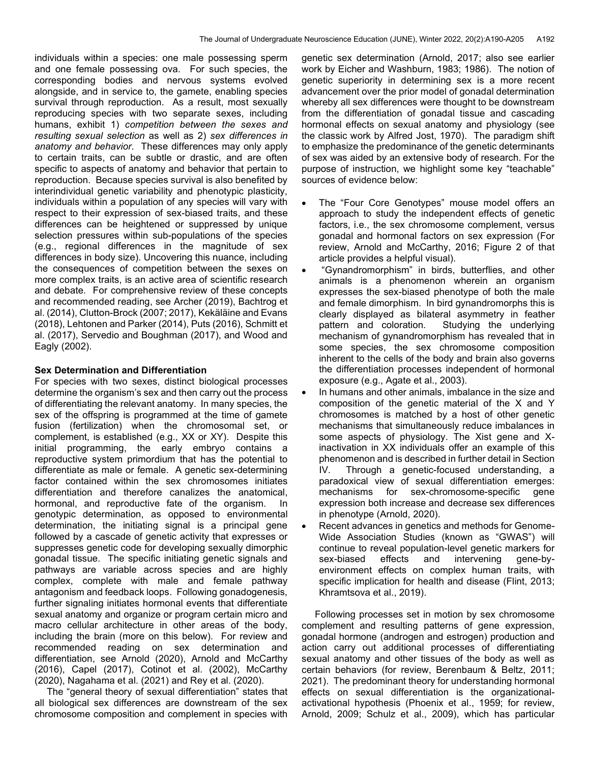individuals within a species: one male possessing sperm and one female possessing ova. For such species, the corresponding bodies and nervous systems evolved alongside, and in service to, the gamete, enabling species survival through reproduction. As a result, most sexually reproducing species with two separate sexes, including humans, exhibit 1) competition between the sexes and resulting sexual selection as well as 2) sex differences in anatomy and behavior. These differences may only apply to certain traits, can be subtle or drastic, and are often specific to aspects of anatomy and behavior that pertain to reproduction. Because species survival is also benefited by interindividual genetic variability and phenotypic plasticity, individuals within a population of any species will vary with respect to their expression of sex-biased traits, and these differences can be heightened or suppressed by unique selection pressures within sub-populations of the species (e.g., regional differences in the magnitude of sex differences in body size). Uncovering this nuance, including the consequences of competition between the sexes on more complex traits, is an active area of scientific research and debate. For comprehensive review of these concepts and recommended reading, see Archer (2019), Bachtrog et al. (2014), Clutton-Brock (2007; 2017), Kekäläine and Evans (2018), Lehtonen and Parker (2014), Puts (2016), Schmitt et al. (2017), Servedio and Boughman (2017), and Wood and Eagly (2002).

#### Sex Determination and Differentiation

For species with two sexes, distinct biological processes determine the organism's sex and then carry out the process of differentiating the relevant anatomy. In many species, the sex of the offspring is programmed at the time of gamete fusion (fertilization) when the chromosomal set, or complement, is established (e.g., XX or XY). Despite this initial programming, the early embryo contains a reproductive system primordium that has the potential to differentiate as male or female. A genetic sex-determining factor contained within the sex chromosomes initiates differentiation and therefore canalizes the anatomical, hormonal, and reproductive fate of the organism. In genotypic determination, as opposed to environmental determination, the initiating signal is a principal gene followed by a cascade of genetic activity that expresses or suppresses genetic code for developing sexually dimorphic gonadal tissue. The specific initiating genetic signals and pathways are variable across species and are highly complex, complete with male and female pathway antagonism and feedback loops. Following gonadogenesis, further signaling initiates hormonal events that differentiate sexual anatomy and organize or program certain micro and macro cellular architecture in other areas of the body, including the brain (more on this below). For review and recommended reading on sex determination and differentiation, see Arnold (2020), Arnold and McCarthy (2016), Capel (2017), Cotinot et al. (2002), McCarthy (2020), Nagahama et al. (2021) and Rey et al. (2020).

 The "general theory of sexual differentiation" states that all biological sex differences are downstream of the sex chromosome composition and complement in species with genetic sex determination (Arnold, 2017; also see earlier work by Eicher and Washburn, 1983; 1986). The notion of genetic superiority in determining sex is a more recent advancement over the prior model of gonadal determination whereby all sex differences were thought to be downstream from the differentiation of gonadal tissue and cascading hormonal effects on sexual anatomy and physiology (see the classic work by Alfred Jost, 1970). The paradigm shift to emphasize the predominance of the genetic determinants of sex was aided by an extensive body of research. For the purpose of instruction, we highlight some key "teachable" sources of evidence below:

- The "Four Core Genotypes" mouse model offers an approach to study the independent effects of genetic factors, i.e., the sex chromosome complement, versus gonadal and hormonal factors on sex expression (For review, Arnold and McCarthy, 2016; Figure 2 of that article provides a helpful visual).
- "Gynandromorphism" in birds, butterflies, and other animals is a phenomenon wherein an organism expresses the sex-biased phenotype of both the male and female dimorphism. In bird gynandromorphs this is clearly displayed as bilateral asymmetry in feather pattern and coloration. Studying the underlying mechanism of gynandromorphism has revealed that in some species, the sex chromosome composition inherent to the cells of the body and brain also governs the differentiation processes independent of hormonal exposure (e.g., Agate et al., 2003).
- In humans and other animals, imbalance in the size and composition of the genetic material of the X and Y chromosomes is matched by a host of other genetic mechanisms that simultaneously reduce imbalances in some aspects of physiology. The Xist gene and Xinactivation in XX individuals offer an example of this phenomenon and is described in further detail in Section IV. Through a genetic-focused understanding, a paradoxical view of sexual differentiation emerges: mechanisms for sex-chromosome-specific gene expression both increase and decrease sex differences in phenotype (Arnold, 2020).
- Recent advances in genetics and methods for Genome-Wide Association Studies (known as "GWAS") will continue to reveal population-level genetic markers for sex-biased effects and intervening gene-byenvironment effects on complex human traits, with specific implication for health and disease (Flint, 2013; Khramtsova et al., 2019).

 Following processes set in motion by sex chromosome complement and resulting patterns of gene expression, gonadal hormone (androgen and estrogen) production and action carry out additional processes of differentiating sexual anatomy and other tissues of the body as well as certain behaviors (for review, Berenbaum & Beltz, 2011; 2021). The predominant theory for understanding hormonal effects on sexual differentiation is the organizationalactivational hypothesis (Phoenix et al., 1959; for review, Arnold, 2009; Schulz et al., 2009), which has particular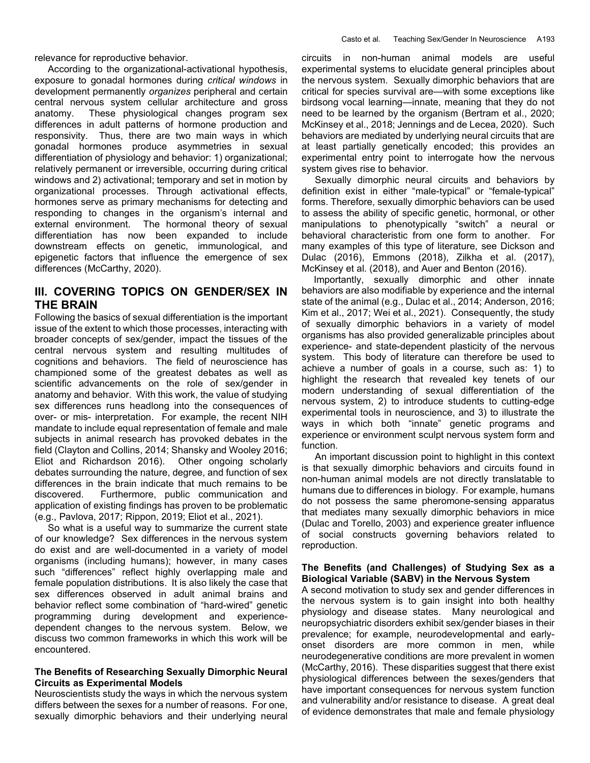relevance for reproductive behavior.

 According to the organizational-activational hypothesis, exposure to gonadal hormones during critical windows in development permanently *organizes* peripheral and certain central nervous system cellular architecture and gross anatomy. These physiological changes program sex differences in adult patterns of hormone production and responsivity. Thus, there are two main ways in which gonadal hormones produce asymmetries in sexual differentiation of physiology and behavior: 1) organizational; relatively permanent or irreversible, occurring during critical windows and 2) activational; temporary and set in motion by organizational processes. Through activational effects, hormones serve as primary mechanisms for detecting and responding to changes in the organism's internal and external environment. The hormonal theory of sexual differentiation has now been expanded to include downstream effects on genetic, immunological, and epigenetic factors that influence the emergence of sex differences (McCarthy, 2020).

# III. COVERING TOPICS ON GENDER/SEX IN THE BRAIN

Following the basics of sexual differentiation is the important issue of the extent to which those processes, interacting with broader concepts of sex/gender, impact the tissues of the central nervous system and resulting multitudes of cognitions and behaviors. The field of neuroscience has championed some of the greatest debates as well as scientific advancements on the role of sex/gender in anatomy and behavior. With this work, the value of studying sex differences runs headlong into the consequences of over- or mis- interpretation. For example, the recent NIH mandate to include equal representation of female and male subjects in animal research has provoked debates in the field (Clayton and Collins, 2014; Shansky and Wooley 2016; Eliot and Richardson 2016). Other ongoing scholarly debates surrounding the nature, degree, and function of sex differences in the brain indicate that much remains to be discovered. Furthermore, public communication and application of existing findings has proven to be problematic (e.g., Pavlova, 2017; Rippon, 2019; Eliot et al., 2021).

 So what is a useful way to summarize the current state of our knowledge? Sex differences in the nervous system do exist and are well-documented in a variety of model organisms (including humans); however, in many cases such "differences" reflect highly overlapping male and female population distributions. It is also likely the case that sex differences observed in adult animal brains and behavior reflect some combination of "hard-wired" genetic programming during development and experiencedependent changes to the nervous system. Below, we discuss two common frameworks in which this work will be encountered.

#### The Benefits of Researching Sexually Dimorphic Neural Circuits as Experimental Models

Neuroscientists study the ways in which the nervous system differs between the sexes for a number of reasons. For one, sexually dimorphic behaviors and their underlying neural circuits in non-human animal models are useful experimental systems to elucidate general principles about the nervous system. Sexually dimorphic behaviors that are critical for species survival are—with some exceptions like birdsong vocal learning—innate, meaning that they do not need to be learned by the organism (Bertram et al., 2020; McKinsey et al., 2018; Jennings and de Lecea, 2020). Such behaviors are mediated by underlying neural circuits that are at least partially genetically encoded; this provides an experimental entry point to interrogate how the nervous system gives rise to behavior.

 Sexually dimorphic neural circuits and behaviors by definition exist in either "male-typical" or "female-typical" forms. Therefore, sexually dimorphic behaviors can be used to assess the ability of specific genetic, hormonal, or other manipulations to phenotypically "switch" a neural or behavioral characteristic from one form to another. For many examples of this type of literature, see Dickson and Dulac (2016), Emmons (2018), Zilkha et al. (2017), McKinsey et al. (2018), and Auer and Benton (2016).

 Importantly, sexually dimorphic and other innate behaviors are also modifiable by experience and the internal state of the animal (e.g., Dulac et al., 2014; Anderson, 2016; Kim et al., 2017; Wei et al., 2021). Consequently, the study of sexually dimorphic behaviors in a variety of model organisms has also provided generalizable principles about experience- and state-dependent plasticity of the nervous system. This body of literature can therefore be used to achieve a number of goals in a course, such as: 1) to highlight the research that revealed key tenets of our modern understanding of sexual differentiation of the nervous system, 2) to introduce students to cutting-edge experimental tools in neuroscience, and 3) to illustrate the ways in which both "innate" genetic programs and experience or environment sculpt nervous system form and function.

 An important discussion point to highlight in this context is that sexually dimorphic behaviors and circuits found in non-human animal models are not directly translatable to humans due to differences in biology. For example, humans do not possess the same pheromone-sensing apparatus that mediates many sexually dimorphic behaviors in mice (Dulac and Torello, 2003) and experience greater influence of social constructs governing behaviors related to reproduction.

### The Benefits (and Challenges) of Studying Sex as a Biological Variable (SABV) in the Nervous System

A second motivation to study sex and gender differences in the nervous system is to gain insight into both healthy physiology and disease states. Many neurological and neuropsychiatric disorders exhibit sex/gender biases in their prevalence; for example, neurodevelopmental and earlyonset disorders are more common in men, while neurodegenerative conditions are more prevalent in women (McCarthy, 2016). These disparities suggest that there exist physiological differences between the sexes/genders that have important consequences for nervous system function and vulnerability and/or resistance to disease. A great deal of evidence demonstrates that male and female physiology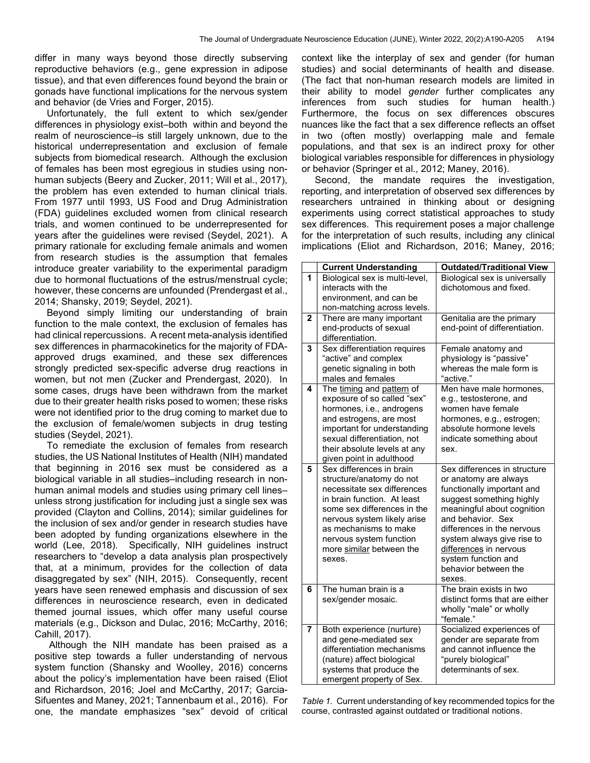differ in many ways beyond those directly subserving reproductive behaviors (e.g., gene expression in adipose tissue), and that even differences found beyond the brain or gonads have functional implications for the nervous system and behavior (de Vries and Forger, 2015).

 Unfortunately, the full extent to which sex/gender differences in physiology exist–both within and beyond the realm of neuroscience–is still largely unknown, due to the historical underrepresentation and exclusion of female subjects from biomedical research. Although the exclusion of females has been most egregious in studies using nonhuman subjects (Beery and Zucker, 2011; Will et al., 2017), the problem has even extended to human clinical trials. From 1977 until 1993, US Food and Drug Administration (FDA) guidelines excluded women from clinical research trials, and women continued to be underrepresented for years after the guidelines were revised (Seydel, 2021). A primary rationale for excluding female animals and women from research studies is the assumption that females introduce greater variability to the experimental paradigm due to hormonal fluctuations of the estrus/menstrual cycle; however, these concerns are unfounded (Prendergast et al., 2014; Shansky, 2019; Seydel, 2021).

 Beyond simply limiting our understanding of brain function to the male context, the exclusion of females has had clinical repercussions. A recent meta-analysis identified sex differences in pharmacokinetics for the majority of FDAapproved drugs examined, and these sex differences strongly predicted sex-specific adverse drug reactions in women, but not men (Zucker and Prendergast, 2020). In some cases, drugs have been withdrawn from the market due to their greater health risks posed to women; these risks were not identified prior to the drug coming to market due to the exclusion of female/women subjects in drug testing studies (Seydel, 2021).

 To remediate the exclusion of females from research studies, the US National Institutes of Health (NIH) mandated that beginning in 2016 sex must be considered as a biological variable in all studies–including research in nonhuman animal models and studies using primary cell lines– unless strong justification for including just a single sex was provided (Clayton and Collins, 2014); similar guidelines for the inclusion of sex and/or gender in research studies have been adopted by funding organizations elsewhere in the world (Lee, 2018). Specifically, NIH guidelines instruct researchers to "develop a data analysis plan prospectively that, at a minimum, provides for the collection of data disaggregated by sex" (NIH, 2015). Consequently, recent years have seen renewed emphasis and discussion of sex differences in neuroscience research, even in dedicated themed journal issues, which offer many useful course materials (e.g., Dickson and Dulac, 2016; McCarthy, 2016; Cahill, 2017).

 Although the NIH mandate has been praised as a positive step towards a fuller understanding of nervous system function (Shansky and Woolley, 2016) concerns about the policy's implementation have been raised (Eliot and Richardson, 2016; Joel and McCarthy, 2017; Garcia-Sifuentes and Maney, 2021; Tannenbaum et al., 2016). For one, the mandate emphasizes "sex" devoid of critical context like the interplay of sex and gender (for human studies) and social determinants of health and disease. (The fact that non-human research models are limited in their ability to model gender further complicates any inferences from such studies for human health.) Furthermore, the focus on sex differences obscures nuances like the fact that a sex difference reflects an offset in two (often mostly) overlapping male and female populations, and that sex is an indirect proxy for other biological variables responsible for differences in physiology or behavior (Springer et al., 2012; Maney, 2016).

 Second, the mandate requires the investigation, reporting, and interpretation of observed sex differences by researchers untrained in thinking about or designing experiments using correct statistical approaches to study sex differences. This requirement poses a major challenge for the interpretation of such results, including any clinical implications (Eliot and Richardson, 2016; Maney, 2016;

|                | <b>Current Understanding</b>                       | <b>Outdated/Traditional View</b>                     |
|----------------|----------------------------------------------------|------------------------------------------------------|
| 1              | Biological sex is multi-level,                     | Biological sex is universally                        |
|                | interacts with the                                 | dichotomous and fixed.                               |
|                | environment, and can be                            |                                                      |
|                | non-matching across levels.                        |                                                      |
| $\overline{2}$ | There are many important                           | Genitalia are the primary                            |
|                | end-products of sexual                             | end-point of differentiation.                        |
|                | differentiation.                                   |                                                      |
| 3              | Sex differentiation requires                       | Female anatomy and                                   |
|                | "active" and complex                               | physiology is "passive"                              |
|                | genetic signaling in both                          | whereas the male form is                             |
|                | males and females                                  | "active."                                            |
| 4              | The timing and pattern of                          | Men have male hormones,                              |
|                | exposure of so called "sex"                        | e.g., testosterone, and                              |
|                | hormones, i.e., androgens                          | women have female                                    |
|                | and estrogens, are most                            | hormones, e.g., estrogen;                            |
|                | important for understanding                        | absolute hormone levels                              |
|                | sexual differentiation, not                        | indicate something about                             |
|                | their absolute levels at any                       | sex.                                                 |
|                | given point in adulthood                           |                                                      |
| 5              | Sex differences in brain                           | Sex differences in structure                         |
|                | structure/anatomy do not                           | or anatomy are always                                |
|                | necessitate sex differences                        | functionally important and                           |
|                | in brain function. At least                        | suggest something highly                             |
|                | some sex differences in the                        | meaningful about cognition                           |
|                | nervous system likely arise                        | and behavior. Sex                                    |
|                | as mechanisms to make                              | differences in the nervous                           |
|                | nervous system function                            | system always give rise to                           |
|                | more similar between the                           | differences in nervous                               |
|                | sexes.                                             | system function and                                  |
|                |                                                    | behavior between the                                 |
|                |                                                    | sexes.                                               |
| 6              | The human brain is a                               | The brain exists in two                              |
|                | sex/gender mosaic.                                 | distinct forms that are either                       |
|                |                                                    | wholly "male" or wholly                              |
|                |                                                    | "female."<br>Socialized experiences of               |
| 7              | Both experience (nurture)<br>and gene-mediated sex |                                                      |
|                | differentiation mechanisms                         | gender are separate from<br>and cannot influence the |
|                | (nature) affect biological                         | "purely biological"                                  |
|                | systems that produce the                           | determinants of sex.                                 |
|                |                                                    |                                                      |
|                | emergent property of Sex.                          |                                                      |

Table 1. Current understanding of key recommended topics for the course, contrasted against outdated or traditional notions.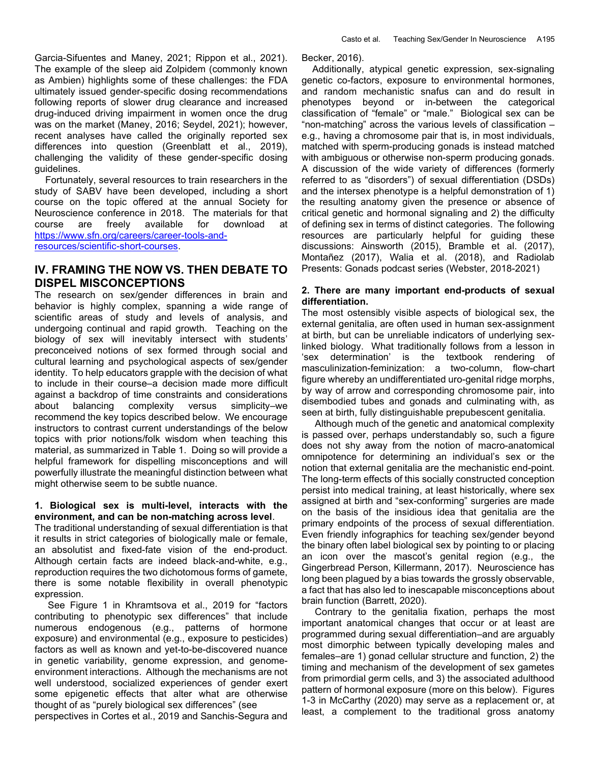Garcia-Sifuentes and Maney, 2021; Rippon et al., 2021). The example of the sleep aid Zolpidem (commonly known as Ambien) highlights some of these challenges: the FDA ultimately issued gender-specific dosing recommendations following reports of slower drug clearance and increased drug-induced driving impairment in women once the drug was on the market (Maney, 2016; Seydel, 2021); however, recent analyses have called the originally reported sex differences into question (Greenblatt et al., 2019), challenging the validity of these gender-specific dosing guidelines.

 Fortunately, several resources to train researchers in the study of SABV have been developed, including a short course on the topic offered at the annual Society for Neuroscience conference in 2018. The materials for that course are freely available for download at https://www.sfn.org/careers/career-tools-andresources/scientific-short-courses.

# IV. FRAMING THE NOW VS. THEN DEBATE TO DISPEL MISCONCEPTIONS

The research on sex/gender differences in brain and behavior is highly complex, spanning a wide range of scientific areas of study and levels of analysis, and undergoing continual and rapid growth. Teaching on the biology of sex will inevitably intersect with students' preconceived notions of sex formed through social and cultural learning and psychological aspects of sex/gender identity. To help educators grapple with the decision of what to include in their course–a decision made more difficult against a backdrop of time constraints and considerations about balancing complexity versus simplicity–we recommend the key topics described below. We encourage instructors to contrast current understandings of the below topics with prior notions/folk wisdom when teaching this material, as summarized in Table 1. Doing so will provide a helpful framework for dispelling misconceptions and will powerfully illustrate the meaningful distinction between what might otherwise seem to be subtle nuance.

### 1. Biological sex is multi-level, interacts with the environment, and can be non-matching across level.

The traditional understanding of sexual differentiation is that it results in strict categories of biologically male or female, an absolutist and fixed-fate vision of the end-product. Although certain facts are indeed black-and-white, e.g., reproduction requires the two dichotomous forms of gamete, there is some notable flexibility in overall phenotypic expression.

 See Figure 1 in Khramtsova et al., 2019 for "factors contributing to phenotypic sex differences" that include numerous endogenous (e.g., patterns of hormone exposure) and environmental (e.g., exposure to pesticides) factors as well as known and yet-to-be-discovered nuance in genetic variability, genome expression, and genomeenvironment interactions. Although the mechanisms are not well understood, socialized experiences of gender exert some epigenetic effects that alter what are otherwise thought of as "purely biological sex differences" (see

perspectives in Cortes et al., 2019 and Sanchis-Segura and

Becker, 2016).

 Additionally, atypical genetic expression, sex-signaling genetic co-factors, exposure to environmental hormones, and random mechanistic snafus can and do result in phenotypes beyond or in-between the categorical classification of "female" or "male." Biological sex can be "non-matching" across the various levels of classification – e.g., having a chromosome pair that is, in most individuals, matched with sperm-producing gonads is instead matched with ambiguous or otherwise non-sperm producing gonads. A discussion of the wide variety of differences (formerly referred to as "disorders") of sexual differentiation (DSDs) and the intersex phenotype is a helpful demonstration of 1) the resulting anatomy given the presence or absence of critical genetic and hormonal signaling and 2) the difficulty of defining sex in terms of distinct categories. The following resources are particularly helpful for guiding these discussions: Ainsworth (2015), Bramble et al. (2017), Montañez (2017), Walia et al. (2018), and Radiolab Presents: Gonads podcast series (Webster, 2018-2021)

### 2. There are many important end-products of sexual differentiation.

The most ostensibly visible aspects of biological sex, the external genitalia, are often used in human sex-assignment at birth, but can be unreliable indicators of underlying sexlinked biology. What traditionally follows from a lesson in 'sex determination' is the textbook rendering of masculinization-feminization: a two-column, flow-chart figure whereby an undifferentiated uro-genital ridge morphs, by way of arrow and corresponding chromosome pair, into disembodied tubes and gonads and culminating with, as seen at birth, fully distinguishable prepubescent genitalia.

 Although much of the genetic and anatomical complexity is passed over, perhaps understandably so, such a figure does not shy away from the notion of macro-anatomical omnipotence for determining an individual's sex or the notion that external genitalia are the mechanistic end-point. The long-term effects of this socially constructed conception persist into medical training, at least historically, where sex assigned at birth and "sex-conforming" surgeries are made on the basis of the insidious idea that genitalia are the primary endpoints of the process of sexual differentiation. Even friendly infographics for teaching sex/gender beyond the binary often label biological sex by pointing to or placing an icon over the mascot's genital region (e.g., the Gingerbread Person, Killermann, 2017). Neuroscience has long been plagued by a bias towards the grossly observable, a fact that has also led to inescapable misconceptions about brain function (Barrett, 2020).

 Contrary to the genitalia fixation, perhaps the most important anatomical changes that occur or at least are programmed during sexual differentiation–and are arguably most dimorphic between typically developing males and females–are 1) gonad cellular structure and function, 2) the timing and mechanism of the development of sex gametes from primordial germ cells, and 3) the associated adulthood pattern of hormonal exposure (more on this below). Figures 1-3 in McCarthy (2020) may serve as a replacement or, at least, a complement to the traditional gross anatomy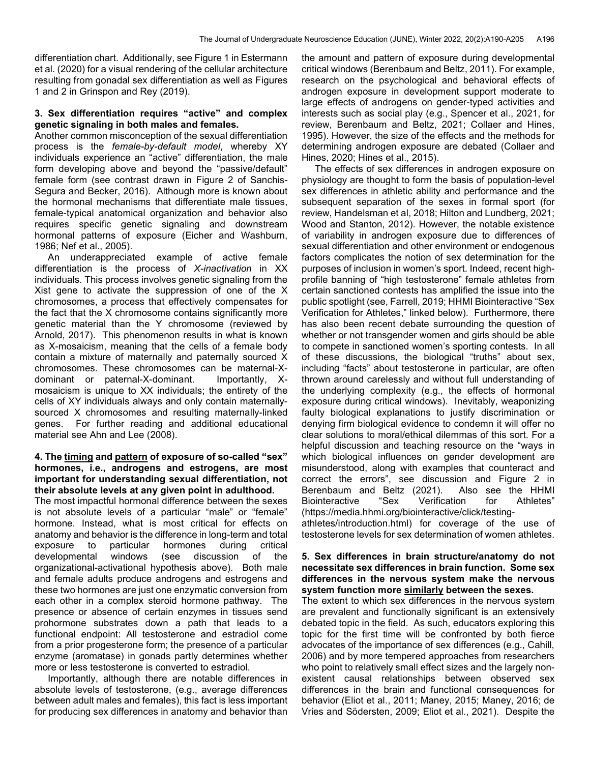differentiation chart. Additionally, see Figure 1 in Estermann et al. (2020) for a visual rendering of the cellular architecture resulting from gonadal sex differentiation as well as Figures 1 and 2 in Grinspon and Rey (2019).

#### 3. Sex differentiation requires "active" and complex genetic signaling in both males and females.

Another common misconception of the sexual differentiation process is the female-by-default model, whereby XY individuals experience an "active" differentiation, the male form developing above and beyond the "passive/default" female form (see contrast drawn in Figure 2 of Sanchis-Segura and Becker, 2016). Although more is known about the hormonal mechanisms that differentiate male tissues, female-typical anatomical organization and behavior also requires specific genetic signaling and downstream hormonal patterns of exposure (Eicher and Washburn, 1986; Nef et al., 2005).

 An underappreciated example of active female differentiation is the process of X-inactivation in XX individuals. This process involves genetic signaling from the Xist gene to activate the suppression of one of the X chromosomes, a process that effectively compensates for the fact that the X chromosome contains significantly more genetic material than the Y chromosome (reviewed by Arnold, 2017). This phenomenon results in what is known as X-mosaicism, meaning that the cells of a female body contain a mixture of maternally and paternally sourced X chromosomes. These chromosomes can be maternal-Xdominant or paternal-X-dominant. Importantly, Xmosaicism is unique to XX individuals; the entirety of the cells of XY individuals always and only contain maternallysourced X chromosomes and resulting maternally-linked genes. For further reading and additional educational material see Ahn and Lee (2008).

#### 4. The timing and pattern of exposure of so-called "sex" hormones, i.e., androgens and estrogens, are most important for understanding sexual differentiation, not their absolute levels at any given point in adulthood.

The most impactful hormonal difference between the sexes is not absolute levels of a particular "male" or "female" hormone. Instead, what is most critical for effects on anatomy and behavior is the difference in long-term and total exposure to particular hormones during critical developmental windows (see discussion of the organizational-activational hypothesis above). Both male and female adults produce androgens and estrogens and these two hormones are just one enzymatic conversion from each other in a complex steroid hormone pathway. The presence or absence of certain enzymes in tissues send prohormone substrates down a path that leads to a functional endpoint: All testosterone and estradiol come from a prior progesterone form; the presence of a particular enzyme (aromatase) in gonads partly determines whether more or less testosterone is converted to estradiol.

 Importantly, although there are notable differences in absolute levels of testosterone, (e.g., average differences between adult males and females), this fact is less important for producing sex differences in anatomy and behavior than

the amount and pattern of exposure during developmental critical windows (Berenbaum and Beltz, 2011). For example, research on the psychological and behavioral effects of androgen exposure in development support moderate to large effects of androgens on gender-typed activities and interests such as social play (e.g., Spencer et al., 2021, for review, Berenbaum and Beltz, 2021; Collaer and Hines, 1995). However, the size of the effects and the methods for determining androgen exposure are debated (Collaer and Hines, 2020; Hines et al., 2015).

 The effects of sex differences in androgen exposure on physiology are thought to form the basis of population-level sex differences in athletic ability and performance and the subsequent separation of the sexes in formal sport (for review, Handelsman et al, 2018; Hilton and Lundberg, 2021; Wood and Stanton, 2012). However, the notable existence of variability in androgen exposure due to differences of sexual differentiation and other environment or endogenous factors complicates the notion of sex determination for the purposes of inclusion in women's sport. Indeed, recent highprofile banning of "high testosterone" female athletes from certain sanctioned contests has amplified the issue into the public spotlight (see, Farrell, 2019; HHMI Biointeractive "Sex Verification for Athletes," linked below). Furthermore, there has also been recent debate surrounding the question of whether or not transgender women and girls should be able to compete in sanctioned women's sporting contests. In all of these discussions, the biological "truths" about sex, including "facts" about testosterone in particular, are often thrown around carelessly and without full understanding of the underlying complexity (e.g., the effects of hormonal exposure during critical windows). Inevitably, weaponizing faulty biological explanations to justify discrimination or denying firm biological evidence to condemn it will offer no clear solutions to moral/ethical dilemmas of this sort. For a helpful discussion and teaching resource on the "ways in which biological influences on gender development are misunderstood, along with examples that counteract and correct the errors", see discussion and Figure 2 in Berenbaum and Beltz (2021). Also see the HHMI Biointeractive "Sex Verification for Athletes" (https://media.hhmi.org/biointeractive/click/testing-

athletes/introduction.html) for coverage of the use of testosterone levels for sex determination of women athletes.

#### 5. Sex differences in brain structure/anatomy do not necessitate sex differences in brain function. Some sex differences in the nervous system make the nervous system function more similarly between the sexes.

The extent to which sex differences in the nervous system are prevalent and functionally significant is an extensively debated topic in the field. As such, educators exploring this topic for the first time will be confronted by both fierce advocates of the importance of sex differences (e.g., Cahill, 2006) and by more tempered approaches from researchers who point to relatively small effect sizes and the largely nonexistent causal relationships between observed sex differences in the brain and functional consequences for behavior (Eliot et al., 2011; Maney, 2015; Maney, 2016; de Vries and Södersten, 2009; Eliot et al., 2021). Despite the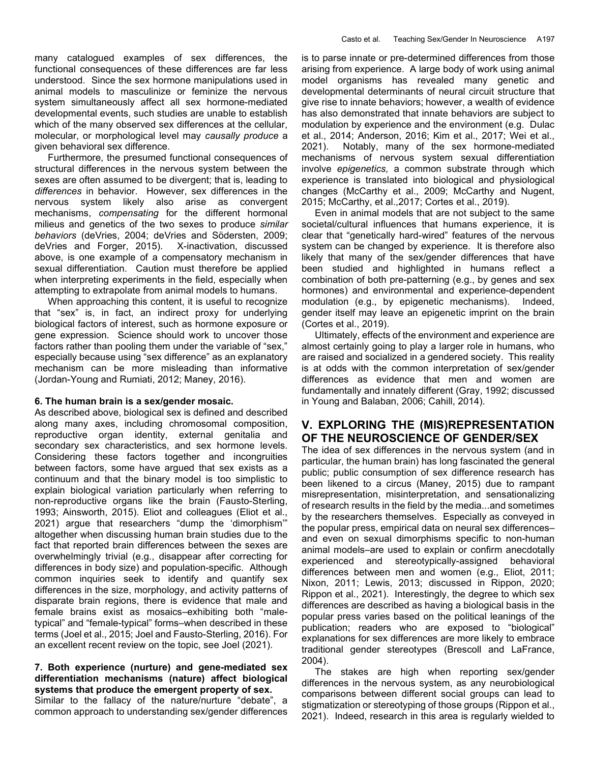many catalogued examples of sex differences, the functional consequences of these differences are far less understood. Since the sex hormone manipulations used in animal models to masculinize or feminize the nervous system simultaneously affect all sex hormone-mediated developmental events, such studies are unable to establish which of the many observed sex differences at the cellular, molecular, or morphological level may causally produce a given behavioral sex difference.

 Furthermore, the presumed functional consequences of structural differences in the nervous system between the sexes are often assumed to be divergent; that is, leading to differences in behavior. However, sex differences in the nervous system likely also arise as convergent mechanisms, compensating for the different hormonal milieus and genetics of the two sexes to produce similar behaviors (deVries, 2004; deVries and Södersten, 2009; deVries and Forger, 2015). X-inactivation, discussed above, is one example of a compensatory mechanism in sexual differentiation. Caution must therefore be applied when interpreting experiments in the field, especially when attempting to extrapolate from animal models to humans.

 When approaching this content, it is useful to recognize that "sex" is, in fact, an indirect proxy for underlying biological factors of interest, such as hormone exposure or gene expression. Science should work to uncover those factors rather than pooling them under the variable of "sex," especially because using "sex difference" as an explanatory mechanism can be more misleading than informative (Jordan-Young and Rumiati, 2012; Maney, 2016).

### 6. The human brain is a sex/gender mosaic.

As described above, biological sex is defined and described along many axes, including chromosomal composition, reproductive organ identity, external genitalia and secondary sex characteristics, and sex hormone levels. Considering these factors together and incongruities between factors, some have argued that sex exists as a continuum and that the binary model is too simplistic to explain biological variation particularly when referring to non-reproductive organs like the brain (Fausto-Sterling, 1993; Ainsworth, 2015). Eliot and colleagues (Eliot et al., 2021) argue that researchers "dump the 'dimorphism'" altogether when discussing human brain studies due to the fact that reported brain differences between the sexes are overwhelmingly trivial (e.g., disappear after correcting for differences in body size) and population-specific. Although common inquiries seek to identify and quantify sex differences in the size, morphology, and activity patterns of disparate brain regions, there is evidence that male and female brains exist as mosaics–exhibiting both "maletypical" and "female-typical" forms–when described in these terms (Joel et al., 2015; Joel and Fausto-Sterling, 2016). For an excellent recent review on the topic, see Joel (2021).

### 7. Both experience (nurture) and gene-mediated sex differentiation mechanisms (nature) affect biological systems that produce the emergent property of sex.

Similar to the fallacy of the nature/nurture "debate", a common approach to understanding sex/gender differences is to parse innate or pre-determined differences from those arising from experience. A large body of work using animal model organisms has revealed many genetic and developmental determinants of neural circuit structure that give rise to innate behaviors; however, a wealth of evidence has also demonstrated that innate behaviors are subject to modulation by experience and the environment (e.g. Dulac et al., 2014; Anderson, 2016; Kim et al., 2017; Wei et al., 2021). Notably, many of the sex hormone-mediated mechanisms of nervous system sexual differentiation involve epigenetics, a common substrate through which experience is translated into biological and physiological changes (McCarthy et al., 2009; McCarthy and Nugent, 2015; McCarthy, et al.,2017; Cortes et al., 2019).

 Even in animal models that are not subject to the same societal/cultural influences that humans experience, it is clear that "genetically hard-wired" features of the nervous system can be changed by experience. It is therefore also likely that many of the sex/gender differences that have been studied and highlighted in humans reflect a combination of both pre-patterning (e.g., by genes and sex hormones) and environmental and experience-dependent modulation (e.g., by epigenetic mechanisms). Indeed, gender itself may leave an epigenetic imprint on the brain (Cortes et al., 2019).

 Ultimately, effects of the environment and experience are almost certainly going to play a larger role in humans, who are raised and socialized in a gendered society. This reality is at odds with the common interpretation of sex/gender differences as evidence that men and women are fundamentally and innately different (Gray, 1992; discussed in Young and Balaban, 2006; Cahill, 2014).

# V. EXPLORING THE (MIS)REPRESENTATION OF THE NEUROSCIENCE OF GENDER/SEX

The idea of sex differences in the nervous system (and in particular, the human brain) has long fascinated the general public; public consumption of sex difference research has been likened to a circus (Maney, 2015) due to rampant misrepresentation, misinterpretation, and sensationalizing of research results in the field by the media...and sometimes by the researchers themselves. Especially as conveyed in the popular press, empirical data on neural sex differences– and even on sexual dimorphisms specific to non-human animal models–are used to explain or confirm anecdotally experienced and stereotypically-assigned behavioral differences between men and women (e.g., Eliot, 2011; Nixon, 2011; Lewis, 2013; discussed in Rippon, 2020; Rippon et al., 2021). Interestingly, the degree to which sex differences are described as having a biological basis in the popular press varies based on the political leanings of the publication; readers who are exposed to "biological" explanations for sex differences are more likely to embrace traditional gender stereotypes (Brescoll and LaFrance, 2004).

 The stakes are high when reporting sex/gender differences in the nervous system, as any neurobiological comparisons between different social groups can lead to stigmatization or stereotyping of those groups (Rippon et al., 2021). Indeed, research in this area is regularly wielded to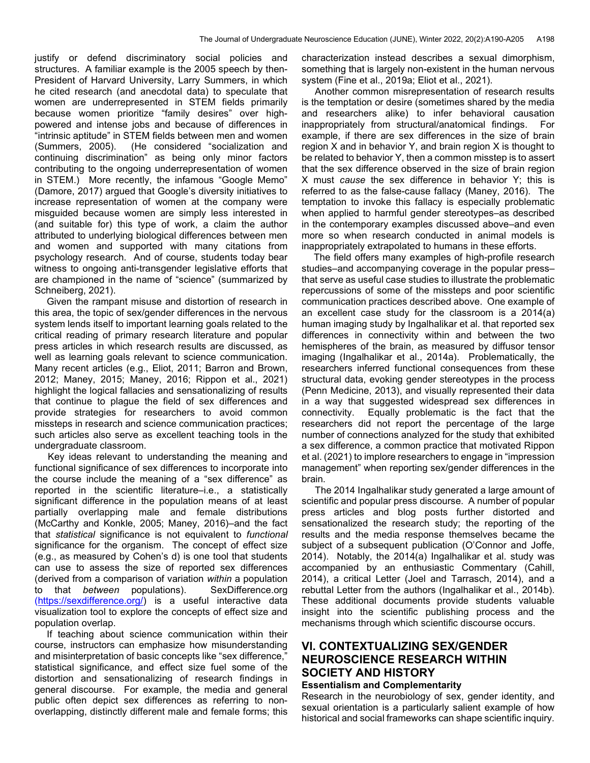justify or defend discriminatory social policies and structures. A familiar example is the 2005 speech by then-President of Harvard University, Larry Summers, in which he cited research (and anecdotal data) to speculate that women are underrepresented in STEM fields primarily because women prioritize "family desires" over highpowered and intense jobs and because of differences in "intrinsic aptitude" in STEM fields between men and women (Summers, 2005). (He considered "socialization and continuing discrimination" as being only minor factors contributing to the ongoing underrepresentation of women in STEM.) More recently, the infamous "Google Memo" (Damore, 2017) argued that Google's diversity initiatives to increase representation of women at the company were misguided because women are simply less interested in (and suitable for) this type of work, a claim the author attributed to underlying biological differences between men and women and supported with many citations from psychology research. And of course, students today bear witness to ongoing anti-transgender legislative efforts that are championed in the name of "science" (summarized by Schneiberg, 2021).

 Given the rampant misuse and distortion of research in this area, the topic of sex/gender differences in the nervous system lends itself to important learning goals related to the critical reading of primary research literature and popular press articles in which research results are discussed, as well as learning goals relevant to science communication. Many recent articles (e.g., Eliot, 2011; Barron and Brown, 2012; Maney, 2015; Maney, 2016; Rippon et al., 2021) highlight the logical fallacies and sensationalizing of results that continue to plague the field of sex differences and provide strategies for researchers to avoid common missteps in research and science communication practices; such articles also serve as excellent teaching tools in the undergraduate classroom.

 Key ideas relevant to understanding the meaning and functional significance of sex differences to incorporate into the course include the meaning of a "sex difference" as reported in the scientific literature–i.e., a statistically significant difference in the population means of at least partially overlapping male and female distributions (McCarthy and Konkle, 2005; Maney, 2016)–and the fact that statistical significance is not equivalent to functional significance for the organism. The concept of effect size (e.g., as measured by Cohen's d) is one tool that students can use to assess the size of reported sex differences (derived from a comparison of variation within a population to that between populations). SexDifference.org (https://sexdifference.org/) is a useful interactive data visualization tool to explore the concepts of effect size and population overlap.

 If teaching about science communication within their course, instructors can emphasize how misunderstanding and misinterpretation of basic concepts like "sex difference," statistical significance, and effect size fuel some of the distortion and sensationalizing of research findings in general discourse. For example, the media and general public often depict sex differences as referring to nonoverlapping, distinctly different male and female forms; this characterization instead describes a sexual dimorphism, something that is largely non-existent in the human nervous system (Fine et al., 2019a; Eliot et al., 2021).

 Another common misrepresentation of research results is the temptation or desire (sometimes shared by the media and researchers alike) to infer behavioral causation inappropriately from structural/anatomical findings. For example, if there are sex differences in the size of brain region X and in behavior Y, and brain region X is thought to be related to behavior Y, then a common misstep is to assert that the sex difference observed in the size of brain region X must cause the sex difference in behavior Y; this is referred to as the false-cause fallacy (Maney, 2016). The temptation to invoke this fallacy is especially problematic when applied to harmful gender stereotypes–as described in the contemporary examples discussed above–and even more so when research conducted in animal models is inappropriately extrapolated to humans in these efforts.

 The field offers many examples of high-profile research studies–and accompanying coverage in the popular press– that serve as useful case studies to illustrate the problematic repercussions of some of the missteps and poor scientific communication practices described above. One example of an excellent case study for the classroom is a 2014(a) human imaging study by Ingalhalikar et al. that reported sex differences in connectivity within and between the two hemispheres of the brain, as measured by diffusor tensor imaging (Ingalhalikar et al., 2014a). Problematically, the researchers inferred functional consequences from these structural data, evoking gender stereotypes in the process (Penn Medicine, 2013), and visually represented their data in a way that suggested widespread sex differences in connectivity. Equally problematic is the fact that the researchers did not report the percentage of the large number of connections analyzed for the study that exhibited a sex difference, a common practice that motivated Rippon et al. (2021) to implore researchers to engage in "impression management" when reporting sex/gender differences in the brain.

 The 2014 Ingalhalikar study generated a large amount of scientific and popular press discourse. A number of popular press articles and blog posts further distorted and sensationalized the research study; the reporting of the results and the media response themselves became the subject of a subsequent publication (O'Connor and Joffe, 2014). Notably, the 2014(a) Ingalhalikar et al. study was accompanied by an enthusiastic Commentary (Cahill, 2014), a critical Letter (Joel and Tarrasch, 2014), and a rebuttal Letter from the authors (Ingalhalikar et al., 2014b). These additional documents provide students valuable insight into the scientific publishing process and the mechanisms through which scientific discourse occurs.

# VI. CONTEXTUALIZING SEX/GENDER NEUROSCIENCE RESEARCH WITHIN SOCIETY AND HISTORY

#### Essentialism and Complementarity

Research in the neurobiology of sex, gender identity, and sexual orientation is a particularly salient example of how historical and social frameworks can shape scientific inquiry.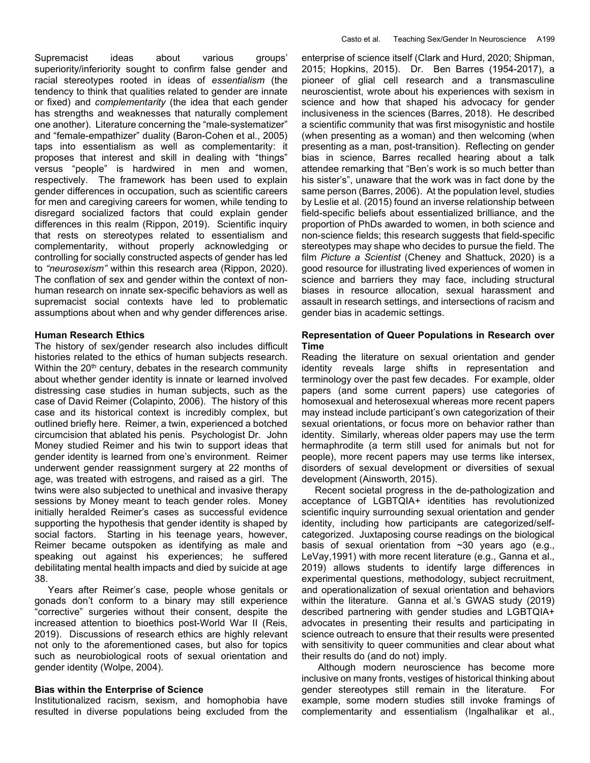Supremacist ideas about various groups' superiority/inferiority sought to confirm false gender and racial stereotypes rooted in ideas of essentialism (the tendency to think that qualities related to gender are innate or fixed) and complementarity (the idea that each gender has strengths and weaknesses that naturally complement one another). Literature concerning the "male-systematizer" and "female-empathizer" duality (Baron-Cohen et al., 2005) taps into essentialism as well as complementarity: it proposes that interest and skill in dealing with "things" versus "people" is hardwired in men and women, respectively. The framework has been used to explain gender differences in occupation, such as scientific careers for men and caregiving careers for women, while tending to disregard socialized factors that could explain gender differences in this realm (Rippon, 2019). Scientific inquiry that rests on stereotypes related to essentialism and complementarity, without properly acknowledging or controlling for socially constructed aspects of gender has led to "neurosexism" within this research area (Rippon, 2020). The conflation of sex and gender within the context of nonhuman research on innate sex-specific behaviors as well as supremacist social contexts have led to problematic assumptions about when and why gender differences arise.

#### Human Research Ethics

The history of sex/gender research also includes difficult histories related to the ethics of human subjects research. Within the  $20<sup>th</sup>$  century, debates in the research community about whether gender identity is innate or learned involved distressing case studies in human subjects, such as the case of David Reimer (Colapinto, 2006). The history of this case and its historical context is incredibly complex, but outlined briefly here. Reimer, a twin, experienced a botched circumcision that ablated his penis. Psychologist Dr. John Money studied Reimer and his twin to support ideas that gender identity is learned from one's environment. Reimer underwent gender reassignment surgery at 22 months of age, was treated with estrogens, and raised as a girl. The twins were also subjected to unethical and invasive therapy sessions by Money meant to teach gender roles. Money initially heralded Reimer's cases as successful evidence supporting the hypothesis that gender identity is shaped by social factors. Starting in his teenage years, however, Reimer became outspoken as identifying as male and speaking out against his experiences; he suffered debilitating mental health impacts and died by suicide at age 38.

 Years after Reimer's case, people whose genitals or gonads don't conform to a binary may still experience "corrective" surgeries without their consent, despite the increased attention to bioethics post-World War II (Reis, 2019). Discussions of research ethics are highly relevant not only to the aforementioned cases, but also for topics such as neurobiological roots of sexual orientation and gender identity (Wolpe, 2004).

#### Bias within the Enterprise of Science

Institutionalized racism, sexism, and homophobia have resulted in diverse populations being excluded from the enterprise of science itself (Clark and Hurd, 2020; Shipman, 2015; Hopkins, 2015). Dr. Ben Barres (1954-2017), a pioneer of glial cell research and a transmasculine neuroscientist, wrote about his experiences with sexism in science and how that shaped his advocacy for gender inclusiveness in the sciences (Barres, 2018). He described a scientific community that was first misogynistic and hostile (when presenting as a woman) and then welcoming (when presenting as a man, post-transition). Reflecting on gender bias in science, Barres recalled hearing about a talk attendee remarking that "Ben's work is so much better than his sister's", unaware that the work was in fact done by the same person (Barres, 2006). At the population level, studies by Leslie et al. (2015) found an inverse relationship between field-specific beliefs about essentialized brilliance, and the proportion of PhDs awarded to women, in both science and non-science fields; this research suggests that field-specific stereotypes may shape who decides to pursue the field. The film *Picture a Scientist* (Cheney and Shattuck, 2020) is a good resource for illustrating lived experiences of women in science and barriers they may face, including structural biases in resource allocation, sexual harassment and assault in research settings, and intersections of racism and gender bias in academic settings.

#### Representation of Queer Populations in Research over Time

Reading the literature on sexual orientation and gender identity reveals large shifts in representation and terminology over the past few decades. For example, older papers (and some current papers) use categories of homosexual and heterosexual whereas more recent papers may instead include participant's own categorization of their sexual orientations, or focus more on behavior rather than identity. Similarly, whereas older papers may use the term hermaphrodite (a term still used for animals but not for people), more recent papers may use terms like intersex, disorders of sexual development or diversities of sexual development (Ainsworth, 2015).

 Recent societal progress in the de-pathologization and acceptance of LGBTQIA+ identities has revolutionized scientific inquiry surrounding sexual orientation and gender identity, including how participants are categorized/selfcategorized. Juxtaposing course readings on the biological basis of sexual orientation from  $\sim$ 30 years ago (e.g., LeVay,1991) with more recent literature (e.g., Ganna et al., 2019) allows students to identify large differences in experimental questions, methodology, subject recruitment, and operationalization of sexual orientation and behaviors within the literature. Ganna et al.'s GWAS study (2019) described partnering with gender studies and LGBTQIA+ advocates in presenting their results and participating in science outreach to ensure that their results were presented with sensitivity to queer communities and clear about what their results do (and do not) imply.

 Although modern neuroscience has become more inclusive on many fronts, vestiges of historical thinking about gender stereotypes still remain in the literature. For example, some modern studies still invoke framings of complementarity and essentialism (Ingalhalikar et al.,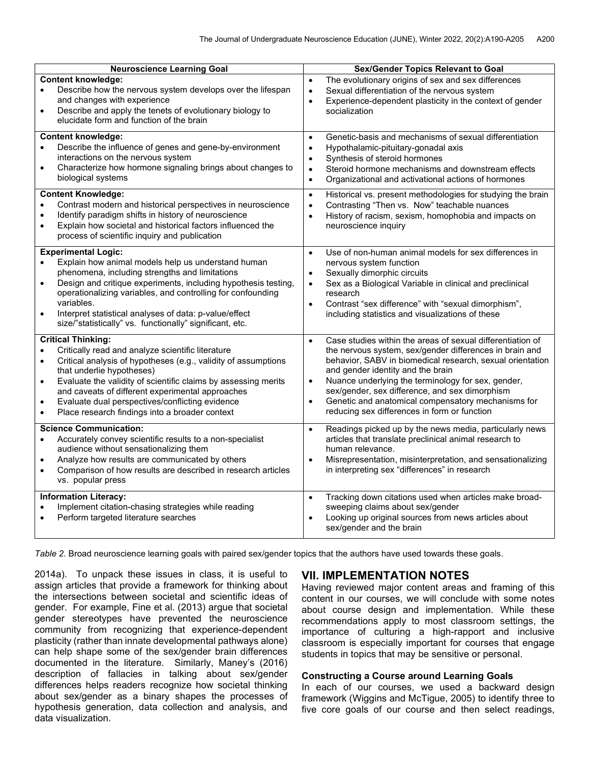| <b>Neuroscience Learning Goal</b>                                                                                                                                                                                                                                                                                                                                                                                                                                                                                                                                                                                                                                                                                                                                         | <b>Sex/Gender Topics Relevant to Goal</b>                                                                                                                                                                                                                                                                                                                                                                                                                                                                                                                                                                                                                                                                                                                      |
|---------------------------------------------------------------------------------------------------------------------------------------------------------------------------------------------------------------------------------------------------------------------------------------------------------------------------------------------------------------------------------------------------------------------------------------------------------------------------------------------------------------------------------------------------------------------------------------------------------------------------------------------------------------------------------------------------------------------------------------------------------------------------|----------------------------------------------------------------------------------------------------------------------------------------------------------------------------------------------------------------------------------------------------------------------------------------------------------------------------------------------------------------------------------------------------------------------------------------------------------------------------------------------------------------------------------------------------------------------------------------------------------------------------------------------------------------------------------------------------------------------------------------------------------------|
| <b>Content knowledge:</b><br>Describe how the nervous system develops over the lifespan<br>$\bullet$<br>and changes with experience<br>Describe and apply the tenets of evolutionary biology to<br>$\bullet$<br>elucidate form and function of the brain                                                                                                                                                                                                                                                                                                                                                                                                                                                                                                                  | The evolutionary origins of sex and sex differences<br>$\bullet$<br>Sexual differentiation of the nervous system<br>$\bullet$<br>Experience-dependent plasticity in the context of gender<br>$\bullet$<br>socialization                                                                                                                                                                                                                                                                                                                                                                                                                                                                                                                                        |
| <b>Content knowledge:</b><br>Describe the influence of genes and gene-by-environment<br>$\bullet$<br>interactions on the nervous system<br>Characterize how hormone signaling brings about changes to<br>$\bullet$<br>biological systems                                                                                                                                                                                                                                                                                                                                                                                                                                                                                                                                  | Genetic-basis and mechanisms of sexual differentiation<br>$\bullet$<br>Hypothalamic-pituitary-gonadal axis<br>$\bullet$<br>Synthesis of steroid hormones<br>$\bullet$<br>Steroid hormone mechanisms and downstream effects<br>$\bullet$<br>Organizational and activational actions of hormones<br>$\bullet$                                                                                                                                                                                                                                                                                                                                                                                                                                                    |
| <b>Content Knowledge:</b><br>Contrast modern and historical perspectives in neuroscience<br>Identify paradigm shifts in history of neuroscience<br>$\bullet$<br>Explain how societal and historical factors influenced the<br>$\bullet$<br>process of scientific inquiry and publication                                                                                                                                                                                                                                                                                                                                                                                                                                                                                  | Historical vs. present methodologies for studying the brain<br>$\bullet$<br>Contrasting "Then vs. Now" teachable nuances<br>$\bullet$<br>History of racism, sexism, homophobia and impacts on<br>$\bullet$<br>neuroscience inquiry                                                                                                                                                                                                                                                                                                                                                                                                                                                                                                                             |
| <b>Experimental Logic:</b><br>Explain how animal models help us understand human<br>phenomena, including strengths and limitations<br>Design and critique experiments, including hypothesis testing,<br>operationalizing variables, and controlling for confounding<br>variables.<br>Interpret statistical analyses of data: p-value/effect<br>$\bullet$<br>size/"statistically" vs. functionally" significant, etc.                                                                                                                                                                                                                                                                                                                                                      | Use of non-human animal models for sex differences in<br>$\bullet$<br>nervous system function<br>Sexually dimorphic circuits<br>$\bullet$<br>Sex as a Biological Variable in clinical and preclinical<br>$\bullet$<br>research<br>Contrast "sex difference" with "sexual dimorphism",<br>$\bullet$<br>including statistics and visualizations of these                                                                                                                                                                                                                                                                                                                                                                                                         |
| <b>Critical Thinking:</b><br>Critically read and analyze scientific literature<br>$\bullet$<br>Critical analysis of hypotheses (e.g., validity of assumptions<br>$\bullet$<br>that underlie hypotheses)<br>Evaluate the validity of scientific claims by assessing merits<br>$\bullet$<br>and caveats of different experimental approaches<br>Evaluate dual perspectives/conflicting evidence<br>$\bullet$<br>Place research findings into a broader context<br>$\bullet$<br><b>Science Communication:</b><br>Accurately convey scientific results to a non-specialist<br>$\bullet$<br>audience without sensationalizing them<br>Analyze how results are communicated by others<br>$\bullet$<br>Comparison of how results are described in research articles<br>$\bullet$ | Case studies within the areas of sexual differentiation of<br>$\bullet$<br>the nervous system, sex/gender differences in brain and<br>behavior, SABV in biomedical research, sexual orientation<br>and gender identity and the brain<br>Nuance underlying the terminology for sex, gender,<br>$\bullet$<br>sex/gender, sex difference, and sex dimorphism<br>Genetic and anatomical compensatory mechanisms for<br>$\bullet$<br>reducing sex differences in form or function<br>Readings picked up by the news media, particularly news<br>$\bullet$<br>articles that translate preclinical animal research to<br>human relevance.<br>Misrepresentation, misinterpretation, and sensationalizing<br>$\bullet$<br>in interpreting sex "differences" in research |
| vs. popular press                                                                                                                                                                                                                                                                                                                                                                                                                                                                                                                                                                                                                                                                                                                                                         |                                                                                                                                                                                                                                                                                                                                                                                                                                                                                                                                                                                                                                                                                                                                                                |
| <b>Information Literacy:</b><br>Implement citation-chasing strategies while reading<br>Perform targeted literature searches                                                                                                                                                                                                                                                                                                                                                                                                                                                                                                                                                                                                                                               | Tracking down citations used when articles make broad-<br>$\bullet$<br>sweeping claims about sex/gender<br>Looking up original sources from news articles about<br>sex/gender and the brain                                                                                                                                                                                                                                                                                                                                                                                                                                                                                                                                                                    |

Table 2. Broad neuroscience learning goals with paired sex/gender topics that the authors have used towards these goals.

2014a). To unpack these issues in class, it is useful to assign articles that provide a framework for thinking about the intersections between societal and scientific ideas of gender. For example, Fine et al. (2013) argue that societal gender stereotypes have prevented the neuroscience community from recognizing that experience-dependent plasticity (rather than innate developmental pathways alone) can help shape some of the sex/gender brain differences documented in the literature. Similarly, Maney's (2016) description of fallacies in talking about sex/gender differences helps readers recognize how societal thinking about sex/gender as a binary shapes the processes of hypothesis generation, data collection and analysis, and data visualization.

# VII. IMPLEMENTATION NOTES

Having reviewed major content areas and framing of this content in our courses, we will conclude with some notes about course design and implementation. While these recommendations apply to most classroom settings, the importance of culturing a high-rapport and inclusive classroom is especially important for courses that engage students in topics that may be sensitive or personal.

#### Constructing a Course around Learning Goals

In each of our courses, we used a backward design framework (Wiggins and McTigue, 2005) to identify three to five core goals of our course and then select readings,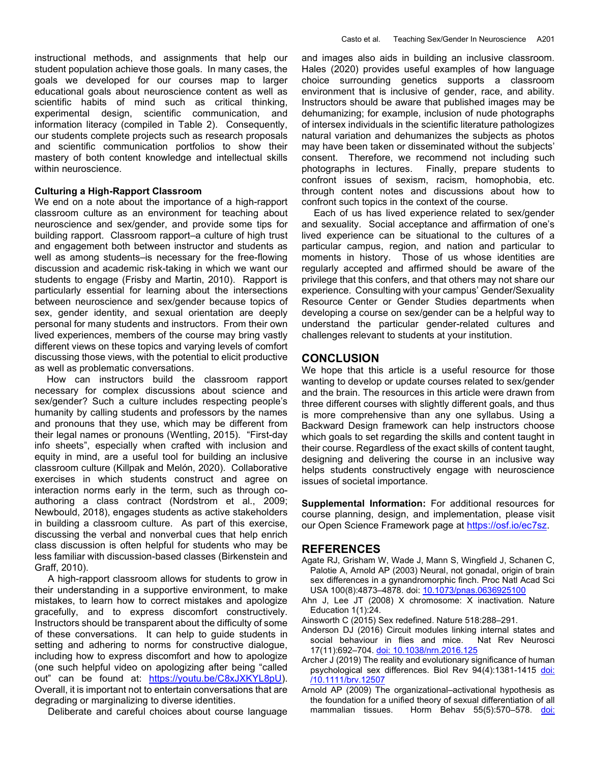instructional methods, and assignments that help our student population achieve those goals. In many cases, the goals we developed for our courses map to larger educational goals about neuroscience content as well as scientific habits of mind such as critical thinking, experimental design, scientific communication, and information literacy (compiled in Table 2). Consequently, our students complete projects such as research proposals and scientific communication portfolios to show their mastery of both content knowledge and intellectual skills within neuroscience.

#### Culturing a High-Rapport Classroom

We end on a note about the importance of a high-rapport classroom culture as an environment for teaching about neuroscience and sex/gender, and provide some tips for building rapport. Classroom rapport–a culture of high trust and engagement both between instructor and students as well as among students–is necessary for the free-flowing discussion and academic risk-taking in which we want our students to engage (Frisby and Martin, 2010). Rapport is particularly essential for learning about the intersections between neuroscience and sex/gender because topics of sex, gender identity, and sexual orientation are deeply personal for many students and instructors. From their own lived experiences, members of the course may bring vastly different views on these topics and varying levels of comfort discussing those views, with the potential to elicit productive as well as problematic conversations.

 How can instructors build the classroom rapport necessary for complex discussions about science and sex/gender? Such a culture includes respecting people's humanity by calling students and professors by the names and pronouns that they use, which may be different from their legal names or pronouns (Wentling, 2015). "First-day info sheets", especially when crafted with inclusion and equity in mind, are a useful tool for building an inclusive classroom culture (Killpak and Melón, 2020). Collaborative exercises in which students construct and agree on interaction norms early in the term, such as through coauthoring a class contract (Nordstrom et al., 2009; Newbould, 2018), engages students as active stakeholders in building a classroom culture. As part of this exercise, discussing the verbal and nonverbal cues that help enrich class discussion is often helpful for students who may be less familiar with discussion-based classes (Birkenstein and Graff, 2010).

 A high-rapport classroom allows for students to grow in their understanding in a supportive environment, to make mistakes, to learn how to correct mistakes and apologize gracefully, and to express discomfort constructively. Instructors should be transparent about the difficulty of some of these conversations. It can help to guide students in setting and adhering to norms for constructive dialogue, including how to express discomfort and how to apologize (one such helpful video on apologizing after being "called out" can be found at: https://youtu.be/C8xJXKYL8pU). Overall, it is important not to entertain conversations that are degrading or marginalizing to diverse identities.

Deliberate and careful choices about course language

and images also aids in building an inclusive classroom. Hales (2020) provides useful examples of how language choice surrounding genetics supports a classroom environment that is inclusive of gender, race, and ability. Instructors should be aware that published images may be dehumanizing; for example, inclusion of nude photographs of intersex individuals in the scientific literature pathologizes natural variation and dehumanizes the subjects as photos may have been taken or disseminated without the subjects' consent. Therefore, we recommend not including such photographs in lectures. Finally, prepare students to confront issues of sexism, racism, homophobia, etc. through content notes and discussions about how to confront such topics in the context of the course.

 Each of us has lived experience related to sex/gender and sexuality. Social acceptance and affirmation of one's lived experience can be situational to the cultures of a particular campus, region, and nation and particular to moments in history. Those of us whose identities are regularly accepted and affirmed should be aware of the privilege that this confers, and that others may not share our experience. Consulting with your campus' Gender/Sexuality Resource Center or Gender Studies departments when developing a course on sex/gender can be a helpful way to understand the particular gender-related cultures and challenges relevant to students at your institution.

## CONCLUSION

We hope that this article is a useful resource for those wanting to develop or update courses related to sex/gender and the brain. The resources in this article were drawn from three different courses with slightly different goals, and thus is more comprehensive than any one syllabus. Using a Backward Design framework can help instructors choose which goals to set regarding the skills and content taught in their course. Regardless of the exact skills of content taught, designing and delivering the course in an inclusive way helps students constructively engage with neuroscience issues of societal importance.

Supplemental Information: For additional resources for course planning, design, and implementation, please visit our Open Science Framework page at https://osf.io/ec7sz.

# REFERENCES

- Agate RJ, Grisham W, Wade J, Mann S, Wingfield J, Schanen C, Palotie A, Arnold AP (2003) Neural, not gonadal, origin of brain sex differences in a gynandromorphic finch. Proc Natl Acad Sci USA 100(8):4873–4878. doi: 10.1073/pnas.0636925100
- Ahn J, Lee JT (2008) X chromosome: X inactivation. Nature Education 1(1):24.
- Ainsworth C (2015) Sex redefined. Nature 518:288–291.
- Anderson DJ (2016) Circuit modules linking internal states and social behaviour in flies and mice. Nat Rev Neurosci 17(11):692-704. doi: 10.1038/nrn.2016.125
- Archer J (2019) The reality and evolutionary significance of human psychological sex differences. Biol Rev 94(4):1381-1415 <u>doi:</u> /10.1111/brv.12507
- Arnold AP (2009) The organizational–activational hypothesis as the foundation for a unified theory of sexual differentiation of all mammalian tissues. Horm Behav 55(5):570-578. doi: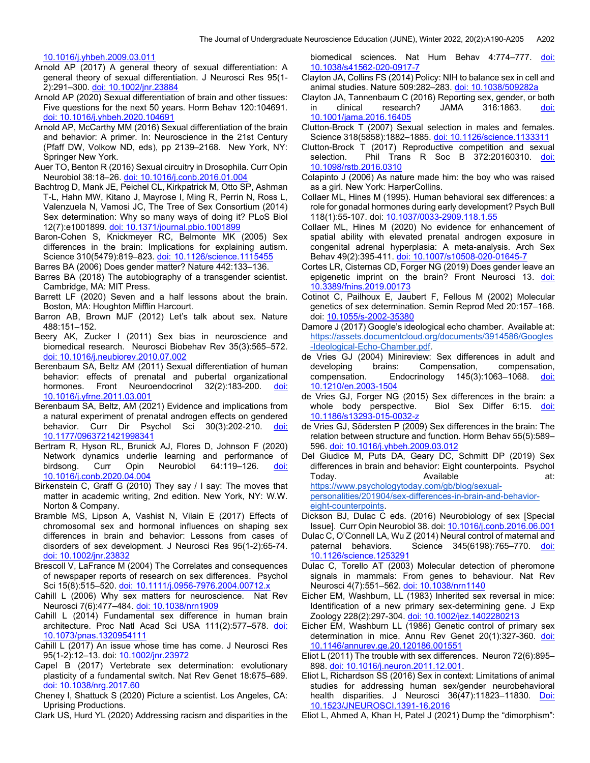10.1016/j.yhbeh.2009.03.011

- Arnold AP (2017) A general theory of sexual differentiation: A general theory of sexual differentiation. J Neurosci Res 95(1- 2):291–300. doi: 10.1002/jnr.23884
- Arnold AP (2020) Sexual differentiation of brain and other tissues: Five questions for the next 50 years. Horm Behav 120:104691. doi: 10.1016/j.yhbeh.2020.104691
- Arnold AP, McCarthy MM (2016) Sexual differentiation of the brain and behavior: A primer. In: Neuroscience in the 21st Century (Pfaff DW, Volkow ND, eds), pp 2139–2168. New York, NY: Springer New York.

Auer TO, Benton R (2016) Sexual circuitry in Drosophila. Curr Opin Neurobiol 38:18–26. doi: 10.1016/j.conb.2016.01.004

- Bachtrog D, Mank JE, Peichel CL, Kirkpatrick M, Otto SP, Ashman T-L, Hahn MW, Kitano J, Mayrose I, Ming R, Perrin N, Ross L, Valenzuela N, Vamosi JC, The Tree of Sex Consortium (2014) Sex determination: Why so many ways of doing it? PLoS Biol 12(7):e1001899. doi: 10.1371/journal.pbio.1001899
- Baron-Cohen S, Knickmeyer RC, Belmonte MK (2005) Sex differences in the brain: Implications for explaining autism. Science 310(5479):819–823. doi: 10.1126/science.1115455

Barres BA (2006) Does gender matter? Nature 442:133–136.

- Barres BA (2018) The autobiography of a transgender scientist. Cambridge, MA: MIT Press.
- Barrett LF (2020) Seven and a half lessons about the brain. Boston, MA: Houghton Mifflin Harcourt.
- Barron AB, Brown MJF (2012) Let's talk about sex. Nature 488:151–152.
- Beery AK, Zucker I (2011) Sex bias in neuroscience and biomedical research. Neurosci Biobehav Rev 35(3):565–572. doi: 10.1016/j.neubiorev.2010.07.002
- Berenbaum SA, Beltz AM (2011) Sexual differentiation of human behavior: effects of prenatal and pubertal organizational hormones. Front Neuroendocrinol 32(2):183-200. doi: 10.1016/j.yfrne.2011.03.001
- Berenbaum SA, Beltz, AM (2021) Evidence and implications from a natural experiment of prenatal androgen effects on gendered behavior. Curr Dir Psychol Sci 30(3):202-210. doi: 10.1177/0963721421998341
- Bertram R, Hyson RL, Brunick AJ, Flores D, Johnson F (2020) Network dynamics underlie learning and performance of birdsong. Curr Opin Neurobiol 64:119-126. doi: 10.1016/j.conb.2020.04.004
- Birkenstein C, Graff G (2010) They say / I say: The moves that matter in academic writing, 2nd edition. New York, NY: W.W. Norton & Company.
- Bramble MS, Lipson A, Vashist N, Vilain E (2017) Effects of chromosomal sex and hormonal influences on shaping sex differences in brain and behavior: Lessons from cases of disorders of sex development. J Neurosci Res 95(1-2):65-74. doi: 10.1002/jnr.23832
- Brescoll V, LaFrance M (2004) The Correlates and consequences of newspaper reports of research on sex differences. Psychol Sci 15(8):515-520. doi: 10.1111/j.0956-7976.2004.00712.x
- Cahill L (2006) Why sex matters for neuroscience. Nat Rev Neurosci 7(6):477–484. doi: 10.1038/nrn1909
- Cahill L (2014) Fundamental sex difference in human brain architecture. Proc Natl Acad Sci USA 111(2):577–578. doi: 10.1073/pnas.1320954111
- Cahill L (2017) An issue whose time has come. J Neurosci Res 95(1-2):12–13. doi: 10.1002/jnr.23972
- Capel B (2017) Vertebrate sex determination: evolutionary plasticity of a fundamental switch. Nat Rev Genet 18:675–689. doi: 10.1038/nrg.2017.60
- Cheney I, Shattuck S (2020) Picture a scientist. Los Angeles, CA: Uprising Productions.
- Clark US, Hurd YL (2020) Addressing racism and disparities in the

biomedical sciences. Nat Hum Behav 4:774–777. <u>doi:</u> 10.1038/s41562-020-0917-7

- Clayton JA, Collins FS (2014) Policy: NIH to balance sex in cell and animal studies. Nature 509:282–283. doi: 10.1038/509282a
- Clayton JA, Tannenbaum C (2016) Reporting sex, gender, or both in clinical research? JAMA 316:1863. doi: 10.1001/jama.2016.16405
- Clutton-Brock T (2007) Sexual selection in males and females. Science 318(5858):1882–1885. doi: 10.1126/science.1133311
- Clutton-Brock T (2017) Reproductive competition and sexual selection. Phil Trans R Soc B 372:20160310. doi: 10.1098/rstb.2016.0310
- Colapinto J (2006) As nature made him: the boy who was raised as a girl. New York: HarperCollins.
- Collaer ML, Hines M (1995). Human behavioral sex differences: a role for gonadal hormones during early development? Psych Bull 118(1):55-107. doi: 10.1037/0033-2909.118.1.55
- Collaer ML, Hines M (2020) No evidence for enhancement of spatial ability with elevated prenatal androgen exposure in congenital adrenal hyperplasia: A meta-analysis. Arch Sex Behav 49(2):395-411. doi: 10.1007/s10508-020-01645-7
- Cortes LR, Cisternas CD, Forger NG (2019) Does gender leave an epigenetic imprint on the brain? Front Neurosci 13. doi: 10.3389/fnins.2019.00173
- Cotinot C, Pailhoux E, Jaubert F, Fellous M (2002) Molecular genetics of sex determination. Semin Reprod Med 20:157–168. doi: 10.1055/s-2002-35380
- Damore J (2017) Google's ideological echo chamber. Available at: https://assets.documentcloud.org/documents/3914586/Googles -Ideological-Echo-Chamber.pdf.
- de Vries GJ (2004) Minireview: Sex differences in adult and developing brains: Compensation, compensation, compensation. Endocrinology 145(3):1063-1068. doi: 10.1210/en.2003-1504
- de Vries GJ, Forger NG (2015) Sex differences in the brain: a whole body perspective. Biol Sex Differ 6:15. doi: 10.1186/s13293-015-0032-z
- de Vries GJ, Södersten P (2009) Sex differences in the brain: The relation between structure and function. Horm Behav 55(5):589– 596. doi: 10.1016/j.yhbeh.2009.03.012
- Del Giudice M, Puts DA, Geary DC, Schmitt DP (2019) Sex differences in brain and behavior: Eight counterpoints. Psychol Today. Today. Available at: https://www.psychologytoday.com/gb/blog/sexual-

personalities/201904/sex-differences-in-brain-and-behavioreight-counterpoints.

- Dickson BJ, Dulac C eds. (2016) Neurobiology of sex [Special Issue]. Curr Opin Neurobiol 38. doi: 10.1016/j.conb.2016.06.001
- Dulac C, O'Connell LA, Wu Z (2014) Neural control of maternal and paternal behaviors. Science 345(6198):765-770. doi: 10.1126/science.1253291
- Dulac C, Torello AT (2003) Molecular detection of pheromone signals in mammals: From genes to behaviour. Nat Rev Neurosci 4(7):551-562. doi: 10.1038/nrn1140
- Eicher EM, Washburn, LL (1983) Inherited sex reversal in mice: Identification of a new primary sex‐determining gene. J Exp Zoology 228(2):297-304. doi: 10.1002/jez.1402280213
- Eicher EM, Washburn LL (1986) Genetic control of primary sex determination in mice. Annu Rev Genet 20(1):327-360. doi: 10.1146/annurev.ge.20.120186.001551
- Eliot L (2011) The trouble with sex differences. Neuron 72(6):895– 898. doi: 10.1016/j.neuron.2011.12.001.
- Eliot L, Richardson SS (2016) Sex in context: Limitations of animal studies for addressing human sex/gender neurobehavioral health disparities. J Neurosci 36(47):11823–11830. Doi: 10.1523/JNEUROSCI.1391-16.2016
- Eliot L, Ahmed A, Khan H, Patel J (2021) Dump the "dimorphism":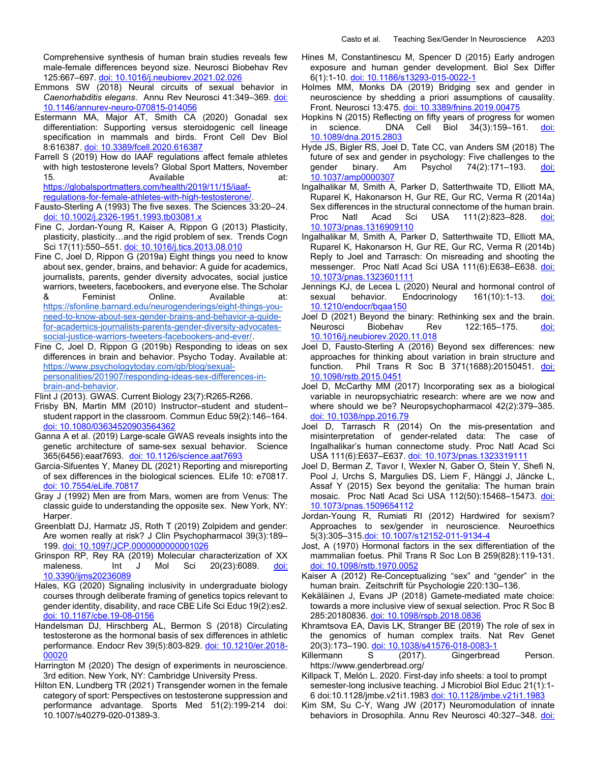Comprehensive synthesis of human brain studies reveals few male-female differences beyond size. Neurosci Biobehav Rev 125:667–697. doi: 10.1016/j.neubiorev.2021.02.026

- Emmons SW (2018) Neural circuits of sexual behavior in Caenorhabditis elegans. Annu Rev Neurosci 41:349–369. doi: 10.1146/annurev-neuro-070815-014056
- Estermann MA, Major AT, Smith CA (2020) Gonadal sex differentiation: Supporting versus steroidogenic cell lineage specification in mammals and birds. Front Cell Dev Biol 8:616387. doi: 10.3389/fcell.2020.616387
- Farrell S (2019) How do IAAF regulations affect female athletes with high testosterone levels? Global Sport Matters, November 15. Available at:

https://globalsportmatters.com/health/2019/11/15/iaafregulations-for-female-athletes-with-high-testosterone/.

- Fausto-Sterling A (1993) The five sexes. The Sciences 33:20–24. doi: 10.1002/j.2326-1951.1993.tb03081.x
- Fine C, Jordan-Young R, Kaiser A, Rippon G (2013) Plasticity, plasticity, plasticity…and the rigid problem of sex. Trends Cogn Sci 17(11):550-551. doi: 10.1016/j.tics.2013.08.010
- Fine C, Joel D, Rippon G (2019a) Eight things you need to know about sex, gender, brains, and behavior: A guide for academics, journalists, parents, gender diversity advocates, social justice warriors, tweeters, facebookers, and everyone else. The Scholar & Feminist Online. Available at: https://sfonline.barnard.edu/neurogenderings/eight-things-youneed-to-know-about-sex-gender-brains-and-behavior-a-guidefor-academics-journalists-parents-gender-diversity-advocatessocial-justice-warriors-tweeters-facebookers-and-ever/.
- Fine C, Joel D, Rippon G (2019b) Responding to ideas on sex differences in brain and behavior. Psycho Today. Available at: https://www.psychologytoday.com/gb/blog/sexualpersonalities/201907/responding-ideas-sex-differences-inbrain-and-behavior.

Flint J (2013). GWAS. Current Biology 23(7):R265-R266.

- Frisby BN, Martin MM (2010) Instructor–student and student– student rapport in the classroom. Commun Educ 59(2):146–164. doi: 10.1080/03634520903564362
- Ganna A et al. (2019) Large-scale GWAS reveals insights into the genetic architecture of same-sex sexual behavior. Science 365(6456):eaat7693. doi: 10.1126/science.aat7693
- Garcia-Sifuentes Y, Maney DL (2021) Reporting and misreporting of sex differences in the biological sciences. ELife 10: e70817. doi: 10.7554/eLife.70817
- Gray J (1992) Men are from Mars, women are from Venus: The classic guide to understanding the opposite sex. New York, NY: Harper.
- Greenblatt DJ, Harmatz JS, Roth T (2019) Zolpidem and gender: Are women really at risk? J Clin Psychopharmacol 39(3):189– 199. doi: 10.1097/JCP.0000000000001026
- Grinspon RP, Rey RA (2019) Molecular characterization of XX maleness. Int J Mol Sci 20(23):6089. doi: 10.3390/ijms20236089
- Hales, KG (2020) Signaling inclusivity in undergraduate biology courses through deliberate framing of genetics topics relevant to gender identity, disability, and race CBE Life Sci Educ 19(2):es2. doi: 10.1187/cbe.19-08-0156
- Handelsman DJ, Hirschberg AL, Bermon S (2018) Circulating testosterone as the hormonal basis of sex differences in athletic performance. Endocr Rev 39(5):803-829. doi: 10.1210/er.2018-00020
- Harrington M (2020) The design of experiments in neuroscience. 3rd edition. New York, NY: Cambridge University Press.
- Hilton EN, Lundberg TR (2021) Transgender women in the female category of sport: Perspectives on testosterone suppression and performance advantage. Sports Med 51(2):199-214 doi: 10.1007/s40279-020-01389-3.
- Hines M, Constantinescu M, Spencer D (2015) Early androgen exposure and human gender development. Biol Sex Differ 6(1):1-10. doi: 10.1186/s13293-015-0022-1
- Holmes MM, Monks DA (2019) Bridging sex and gender in neuroscience by shedding a priori assumptions of causality. Front. Neurosci 13:475. doi: 10.3389/fnins.2019.00475
- Hopkins N (2015) Reflecting on fifty years of progress for women in science. DNA Cell Biol 34(3):159-161. doi: 10.1089/dna.2015.2803
- Hyde JS, Bigler RS, Joel D, Tate CC, van Anders SM (2018) The future of sex and gender in psychology: Five challenges to the gender binary. Am Psychol 74(2):171–193. <u>doi:</u> 10.1037/amp0000307
- Ingalhalikar M, Smith A, Parker D, Satterthwaite TD, Elliott MA, Ruparel K, Hakonarson H, Gur RE, Gur RC, Verma R (2014a) Sex differences in the structural connectome of the human brain. Proc Natl Acad Sci USA 111(2):823-828. doi: 10.1073/pnas.1316909110
- Ingalhalikar M, Smith A, Parker D, Satterthwaite TD, Elliott MA, Ruparel K, Hakonarson H, Gur RE, Gur RC, Verma R (2014b) Reply to Joel and Tarrasch: On misreading and shooting the messenger. Proc Natl Acad Sci USA 111(6):E638–E638. doi: 10.1073/pnas.1323601111
- Jennings KJ, de Lecea L (2020) Neural and hormonal control of sexual behavior. Endocrinology 161(10):1-13. doi: 10.1210/endocr/bqaa150
- Joel D (2021) Beyond the binary: Rethinking sex and the brain. Neurosci Biobehav Rev 122:165-175. doi: 10.1016/j.neubiorev.2020.11.018
- Joel D, Fausto-Sterling A (2016) Beyond sex differences: new approaches for thinking about variation in brain structure and function. Phil Trans R Soc B 371(1688):20150451. doi: 10.1098/rstb.2015.0451
- Joel D, McCarthy MM (2017) Incorporating sex as a biological variable in neuropsychiatric research: where are we now and where should we be? Neuropsychopharmacol 42(2):379–385. doi: 10.1038/npp.2016.79
- Joel D, Tarrasch R (2014) On the mis-presentation and misinterpretation of gender-related data: The case of Ingalhalikar's human connectome study. Proc Natl Acad Sci USA 111(6):E637–E637. doi: 10.1073/pnas.1323319111
- Joel D, Berman Z, Tavor I, Wexler N, Gaber O, Stein Y, Shefi N, Pool J, Urchs S, Margulies DS, Liem F, Hänggi J, Jäncke L, Assaf Y (2015) Sex beyond the genitalia: The human brain mosaic. Proc Natl Acad Sci USA 112(50):15468-15473. doi: 10.1073/pnas.1509654112
- Jordan-Young R, Rumiati RI (2012) Hardwired for sexism? Approaches to sex/gender in neuroscience. Neuroethics 5(3):305–315.doi: 10.1007/s12152-011-9134-4
- Jost, A (1970) Hormonal factors in the sex differentiation of the mammalian foetus. Phil Trans R Soc Lon B 259(828):119-131. doi: 10.1098/rstb.1970.0052
- Kaiser A (2012) Re-Conceptualizing "sex" and "gender" in the human brain. Zeitschrift für Psychologie 220:130–136.
- Kekäläinen J, Evans JP (2018) Gamete-mediated mate choice: towards a more inclusive view of sexual selection. Proc R Soc B 285:20180836. doi: 10.1098/rspb.2018.0836
- Khramtsova EA, Davis LK, Stranger BE (2019) The role of sex in the genomics of human complex traits. Nat Rev Genet 20(3):173–190. doi: 10.1038/s41576-018-0083-1
- Killermann S (2017). Gingerbread Person. https://www.genderbread.org/
- Killpack T, Melón L. 2020. First-day info sheets: a tool to prompt semester-long inclusive teaching. J Microbiol Biol Educ 21(1):1- 6 doi:10.1128/jmbe.v21i1.1983 doi: 10.1128/jmbe.v21i1.1983
- Kim SM, Su C-Y, Wang JW (2017) Neuromodulation of innate behaviors in Drosophila. Annu Rev Neurosci 40:327-348. doi: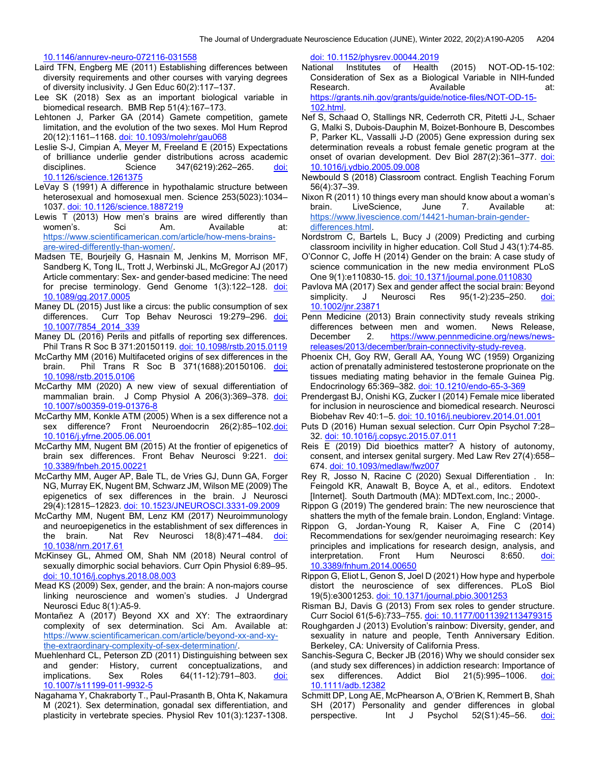10.1146/annurev-neuro-072116-031558

- Laird TFN, Engberg ME (2011) Establishing differences between diversity requirements and other courses with varying degrees of diversity inclusivity. J Gen Educ 60(2):117–137.
- Lee SK (2018) Sex as an important biological variable in biomedical research. BMB Rep 51(4):167–173.
- Lehtonen J, Parker GA (2014) Gamete competition, gamete limitation, and the evolution of the two sexes. Mol Hum Reprod 20(12):1161–1168. doi: 10.1093/molehr/gau068
- Leslie S-J, Cimpian A, Meyer M, Freeland E (2015) Expectations of brilliance underlie gender distributions across academic disciplines. Science 347(6219):262-265. doi: 10.1126/science.1261375
- LeVay S (1991) A difference in hypothalamic structure between heterosexual and homosexual men. Science 253(5023):1034– 1037. doi: 10.1126/science.1887219
- Lewis T (2013) How men's brains are wired differently than women's. Sci Am. Available at: https://www.scientificamerican.com/article/how-mens-brainsare-wired-differently-than-women/.
- Madsen TE, Bourjeily G, Hasnain M, Jenkins M, Morrison MF, Sandberg K, Tong IL, Trott J, Werbinski JL, McGregor AJ (2017) Article commentary: Sex- and gender-based medicine: The need for precise terminology. Gend Genome 1(3):122-128. doi: 10.1089/gg.2017.0005
- Maney DL (2015) Just like a circus: the public consumption of sex differences. Curr Top Behav Neurosci 19:279–296. doi: 10.1007/7854\_2014\_339
- Maney DL (2016) Perils and pitfalls of reporting sex differences. Phil Trans R Soc B 371:20150119. doi: 10.1098/rstb.2015.0119
- McCarthy MM (2016) Multifaceted origins of sex differences in the brain. Phil Trans R Soc B 371(1688):20150106. doi: 10.1098/rstb.2015.0106
- McCarthy MM (2020) A new view of sexual differentiation of mammalian brain. J Comp Physiol A 206(3):369-378. doi: 10.1007/s00359-019-01376-8
- McCarthy MM, Konkle ATM (2005) When is a sex difference not a sex difference? Front Neuroendocrin 26(2):85–102.doi: 10.1016/j.yfrne.2005.06.001
- McCarthy MM, Nugent BM (2015) At the frontier of epigenetics of brain sex differences. Front Behav Neurosci 9:221. doi: 10.3389/fnbeh.2015.00221
- McCarthy MM, Auger AP, Bale TL, de Vries GJ, Dunn GA, Forger NG, Murray EK, Nugent BM, Schwarz JM, Wilson ME (2009) The epigenetics of sex differences in the brain. J Neurosci 29(4):12815–12823. doi: 10.1523/JNEUROSCI.3331-09.2009
- McCarthy MM, Nugent BM, Lenz KM (2017) Neuroimmunology and neuroepigenetics in the establishment of sex differences in the brain. Nat Rev Neurosci 18(8):471–484. doi: 10.1038/nrn.2017.61
- McKinsey GL, Ahmed OM, Shah NM (2018) Neural control of sexually dimorphic social behaviors. Curr Opin Physiol 6:89–95. doi: 10.1016/j.cophys.2018.08.003
- Mead KS (2009) Sex, gender, and the brain: A non-majors course linking neuroscience and women's studies. J Undergrad Neurosci Educ 8(1):A5-9.
- Montañez A (2017) Beyond XX and XY: The extraordinary complexity of sex determination. Sci Am. Available at: https://www.scientificamerican.com/article/beyond-xx-and-xythe-extraordinary-complexity-of-sex-determination/.
- Muehlenhard CL, Peterson ZD (2011) Distinguishing between sex and gender: History, current conceptualizations, and implications. Sex Roles 64(11-12):791-803. doi: 10.1007/s11199-011-9932-5
- Nagahama Y, Chakraborty T., Paul-Prasanth B, Ohta K, Nakamura M (2021). Sex determination, gonadal sex differentiation, and plasticity in vertebrate species. Physiol Rev 101(3):1237-1308.

doi: 10.1152/physrev.00044.2019

- National Institutes of Health (2015) NOT-OD-15-102: Consideration of Sex as a Biological Variable in NIH-funded Research. **Available Available** at: https://grants.nih.gov/grants/guide/notice-files/NOT-OD-15- 102.html.
- Nef S, Schaad O, Stallings NR, Cederroth CR, Pitetti J-L, Schaer G, Malki S, Dubois-Dauphin M, Boizet-Bonhoure B, Descombes P, Parker KL, Vassalli J-D (2005) Gene expression during sex determination reveals a robust female genetic program at the onset of ovarian development. Dev Biol 287(2):361-377. doi: 10.1016/j.ydbio.2005.09.008
- Newbould S (2018) Classroom contract. English Teaching Forum 56(4):37–39.
- Nixon R (2011) 10 things every man should know about a woman's brain. LiveScience, June 7. Available at: https://www.livescience.com/14421-human-brain-genderdifferences.html.
- Nordstrom C, Bartels L, Bucy J (2009) Predicting and curbing classroom incivility in higher education. Coll Stud J 43(1):74-85.
- O'Connor C, Joffe H (2014) Gender on the brain: A case study of science communication in the new media environment PLoS One 9(1):e110830-15. doi: 10.1371/journal.pone.0110830
- Pavlova MA (2017) Sex and gender affect the social brain: Beyond simplicity. J Neurosci Res 95(1-2):235–250. doi: 10.1002/jnr.23871
- Penn Medicine (2013) Brain connectivity study reveals striking differences between men and women. News Release, December 2. https://www.pennmedicine.org/news/newsreleases/2013/december/brain-connectivity-study-revea.
- Phoenix CH, Goy RW, Gerall AA, Young WC (1959) Organizing action of prenatally administered testosterone proprionate on the tissues mediating mating behavior in the female Guinea Pig. Endocrinology 65:369–382. doi: 10.1210/endo-65-3-369
- Prendergast BJ, Onishi KG, Zucker I (2014) Female mice liberated for inclusion in neuroscience and biomedical research. Neurosci Biobehav Rev 40:1–5. doi: 10.1016/j.neubiorev.2014.01.001
- Puts D (2016) Human sexual selection. Curr Opin Psychol 7:28– 32. doi: 10.1016/j.copsyc.2015.07.011
- Reis E (2019) Did bioethics matter? A history of autonomy, consent, and intersex genital surgery. Med Law Rev 27(4):658– 674. doi: 10.1093/medlaw/fwz007
- Rey R, Josso N, Racine C (2020) Sexual Differentiation . In: Feingold KR, Anawalt B, Boyce A, et al., editors. Endotext [Internet]. South Dartmouth (MA): MDText.com, Inc.; 2000-.
- Rippon G (2019) The gendered brain: The new neuroscience that shatters the myth of the female brain. London, England: Vintage.
- Rippon G, Jordan-Young R, Kaiser A, Fine C (2014) Recommendations for sex/gender neuroimaging research: Key principles and implications for research design, analysis, and interpretation. Front Hum Neurosci 8:650. doi: 10.3389/fnhum.2014.00650
- Rippon G, Eliot L, Genon S, Joel D (2021) How hype and hyperbole distort the neuroscience of sex differences. PLoS Biol 19(5):e3001253. doi: 10.1371/journal.pbio.3001253
- Risman BJ, Davis G (2013) From sex roles to gender structure. Curr Sociol 61(5-6):733–755. doi: 10.1177/0011392113479315
- Roughgarden J (2013) Evolution's rainbow: Diversity, gender, and sexuality in nature and people, Tenth Anniversary Edition. Berkeley, CA: University of California Press.
- Sanchis-Segura C, Becker JB (2016) Why we should consider sex (and study sex differences) in addiction research: Importance of sex differences. Addict Biol 21(5):995–1006. doi: 10.1111/adb.12382
- Schmitt DP, Long AE, McPhearson A, O'Brien K, Remmert B, Shah SH (2017) Personality and gender differences in global<br>perspective. Int J Psychol 52(S1):45–56. <u>doi:</u> perspective. Int J Psychol 52(S1):45-56. doi: